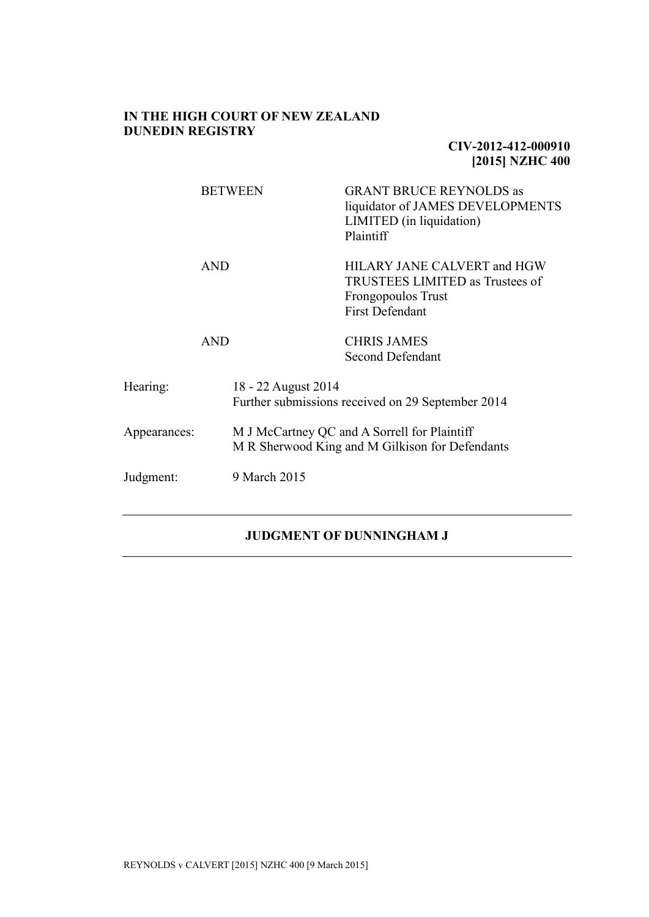# **IN THE HIGH COURT OF NEW ZEALAND DUNEDIN REGISTRY**

# **CIV-2012-412-000910 [2015] NZHC 400**

|              |            | <b>BETWEEN</b>                                                           | <b>GRANT BRUCE REYNOLDS as</b><br>liquidator of JAMES DEVELOPMENTS<br>LIMITED (in liquidation)<br>Plaintiff    |
|--------------|------------|--------------------------------------------------------------------------|----------------------------------------------------------------------------------------------------------------|
|              | <b>AND</b> |                                                                          | HILARY JANE CALVERT and HGW<br>TRUSTEES LIMITED as Trustees of<br>Frongopoulos Trust<br><b>First Defendant</b> |
|              | <b>AND</b> |                                                                          | <b>CHRIS JAMES</b><br>Second Defendant                                                                         |
| Hearing:     |            | 18 - 22 August 2014<br>Further submissions received on 29 September 2014 |                                                                                                                |
| Appearances: |            |                                                                          | M J McCartney QC and A Sorrell for Plaintiff<br>M R Sherwood King and M Gilkison for Defendants                |
| Judgment:    |            | 9 March 2015                                                             |                                                                                                                |

# **JUDGMENT OF DUNNINGHAM J**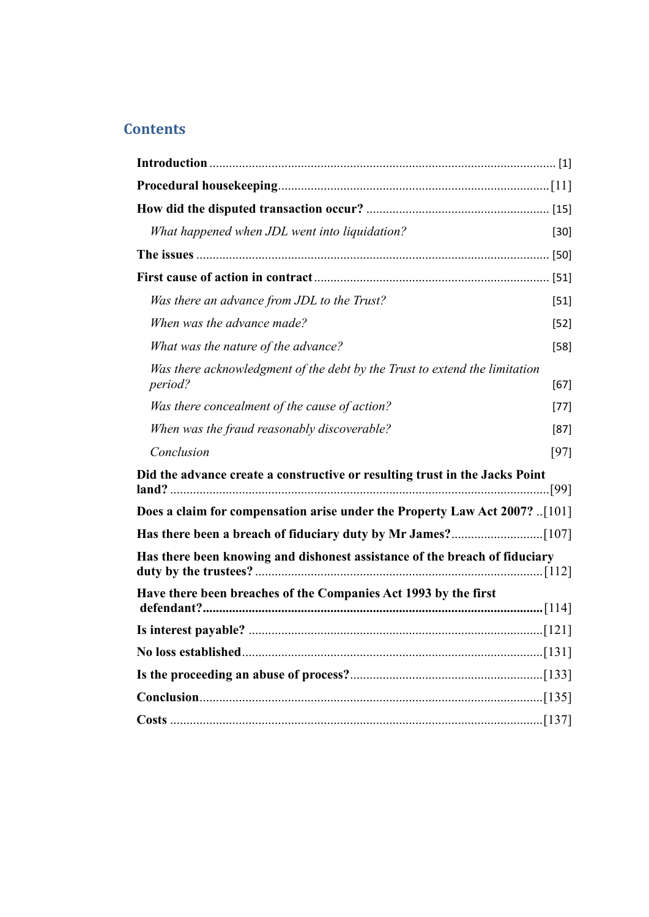# **Contents**

| What happened when JDL went into liquidation?                                         | $[30]$ |
|---------------------------------------------------------------------------------------|--------|
|                                                                                       |        |
|                                                                                       |        |
| Was there an advance from JDL to the Trust?                                           | $[51]$ |
| When was the advance made?                                                            | $[52]$ |
| What was the nature of the advance?                                                   | $[58]$ |
| Was there acknowledgment of the debt by the Trust to extend the limitation<br>period? | [67]   |
| Was there concealment of the cause of action?                                         | $[77]$ |
| When was the fraud reasonably discoverable?                                           | $[87]$ |
| Conclusion                                                                            | [97]   |
| Did the advance create a constructive or resulting trust in the Jacks Point           |        |
| Does a claim for compensation arise under the Property Law Act 2007?  [101]           |        |
|                                                                                       |        |
| Has there been knowing and dishonest assistance of the breach of fiduciary            |        |
| Have there been breaches of the Companies Act 1993 by the first                       |        |
|                                                                                       |        |
| No loss established.                                                                  |        |
|                                                                                       |        |
|                                                                                       |        |
|                                                                                       |        |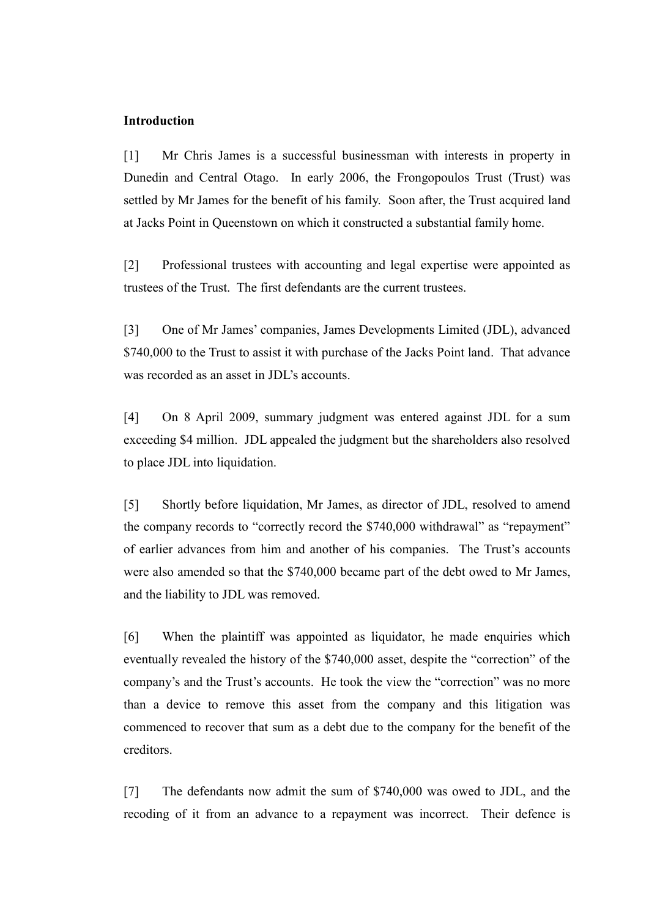#### <span id="page-2-0"></span>**Introduction**

[1] Mr Chris James is a successful businessman with interests in property in Dunedin and Central Otago. In early 2006, the Frongopoulos Trust (Trust) was settled by Mr James for the benefit of his family. Soon after, the Trust acquired land at Jacks Point in Queenstown on which it constructed a substantial family home.

[2] Professional trustees with accounting and legal expertise were appointed as trustees of the Trust. The first defendants are the current trustees.

[3] One of Mr James' companies, James Developments Limited (JDL), advanced \$740,000 to the Trust to assist it with purchase of the Jacks Point land. That advance was recorded as an asset in JDL's accounts.

[4] On 8 April 2009, summary judgment was entered against JDL for a sum exceeding \$4 million. JDL appealed the judgment but the shareholders also resolved to place JDL into liquidation.

[5] Shortly before liquidation, Mr James, as director of JDL, resolved to amend the company records to "correctly record the \$740,000 withdrawal" as "repayment" of earlier advances from him and another of his companies. The Trust's accounts were also amended so that the \$740,000 became part of the debt owed to Mr James, and the liability to JDL was removed.

[6] When the plaintiff was appointed as liquidator, he made enquiries which eventually revealed the history of the \$740,000 asset, despite the "correction" of the company's and the Trust's accounts. He took the view the "correction" was no more than a device to remove this asset from the company and this litigation was commenced to recover that sum as a debt due to the company for the benefit of the creditors.

[7] The defendants now admit the sum of \$740,000 was owed to JDL, and the recoding of it from an advance to a repayment was incorrect. Their defence is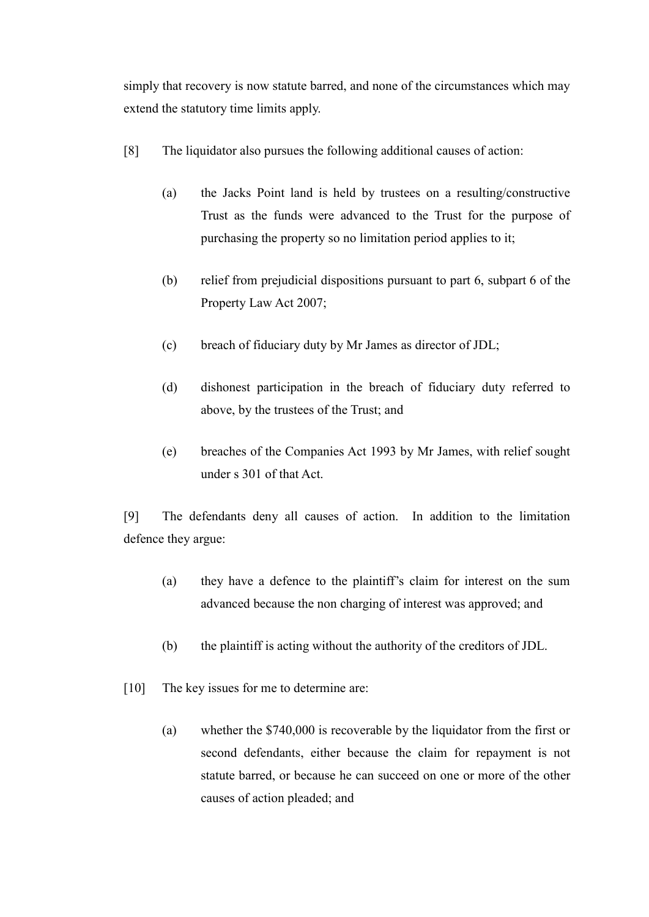simply that recovery is now statute barred, and none of the circumstances which may extend the statutory time limits apply.

- [8] The liquidator also pursues the following additional causes of action:
	- (a) the Jacks Point land is held by trustees on a resulting/constructive Trust as the funds were advanced to the Trust for the purpose of purchasing the property so no limitation period applies to it;
	- (b) relief from prejudicial dispositions pursuant to part 6, subpart 6 of the Property Law Act 2007;
	- (c) breach of fiduciary duty by Mr James as director of JDL;
	- (d) dishonest participation in the breach of fiduciary duty referred to above, by the trustees of the Trust; and
	- (e) breaches of the Companies Act 1993 by Mr James, with relief sought under s 301 of that Act.

[9] The defendants deny all causes of action. In addition to the limitation defence they argue:

- (a) they have a defence to the plaintiff's claim for interest on the sum advanced because the non charging of interest was approved; and
- (b) the plaintiff is acting without the authority of the creditors of JDL.
- [10] The key issues for me to determine are:
	- (a) whether the \$740,000 is recoverable by the liquidator from the first or second defendants, either because the claim for repayment is not statute barred, or because he can succeed on one or more of the other causes of action pleaded; and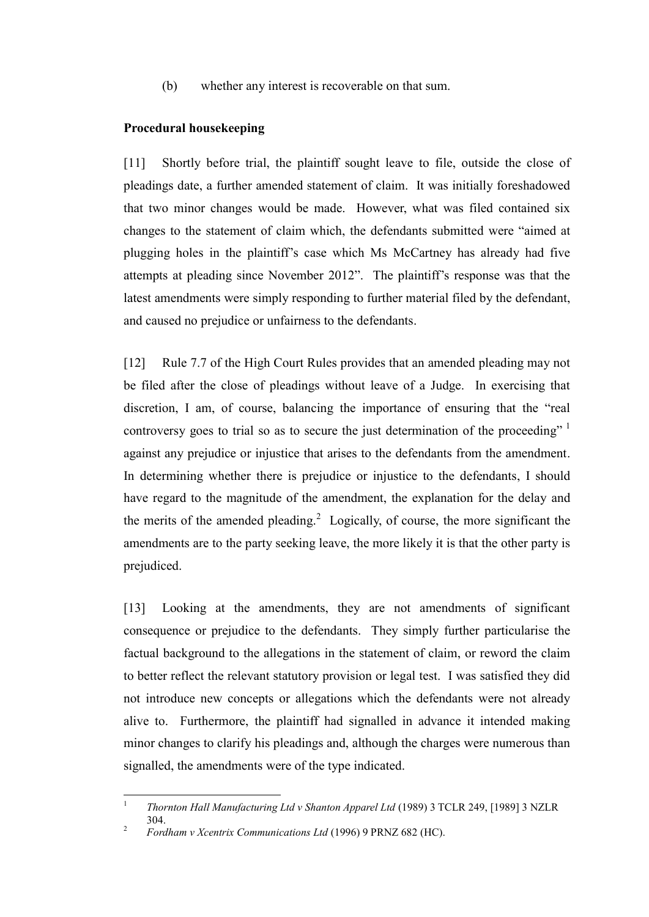(b) whether any interest is recoverable on that sum.

### <span id="page-4-0"></span>**Procedural housekeeping**

[11] Shortly before trial, the plaintiff sought leave to file, outside the close of pleadings date, a further amended statement of claim. It was initially foreshadowed that two minor changes would be made. However, what was filed contained six changes to the statement of claim which, the defendants submitted were "aimed at plugging holes in the plaintiff's case which Ms McCartney has already had five attempts at pleading since November 2012". The plaintiff's response was that the latest amendments were simply responding to further material filed by the defendant, and caused no prejudice or unfairness to the defendants.

[12] Rule 7.7 of the High Court Rules provides that an amended pleading may not be filed after the close of pleadings without leave of a Judge. In exercising that discretion, I am, of course, balancing the importance of ensuring that the "real controversy goes to trial so as to secure the just determination of the proceeding" <sup>1</sup> against any prejudice or injustice that arises to the defendants from the amendment. In determining whether there is prejudice or injustice to the defendants, I should have regard to the magnitude of the amendment, the explanation for the delay and the merits of the amended pleading.<sup>2</sup> Logically, of course, the more significant the amendments are to the party seeking leave, the more likely it is that the other party is prejudiced.

[13] Looking at the amendments, they are not amendments of significant consequence or prejudice to the defendants. They simply further particularise the factual background to the allegations in the statement of claim, or reword the claim to better reflect the relevant statutory provision or legal test. I was satisfied they did not introduce new concepts or allegations which the defendants were not already alive to. Furthermore, the plaintiff had signalled in advance it intended making minor changes to clarify his pleadings and, although the charges were numerous than signalled, the amendments were of the type indicated.

 $\frac{1}{1}$ *Thornton Hall Manufacturing Ltd v Shanton Apparel Ltd* (1989) 3 TCLR 249, [1989] 3 NZLR 304.

<sup>2</sup> *Fordham v Xcentrix Communications Ltd* (1996) 9 PRNZ 682 (HC).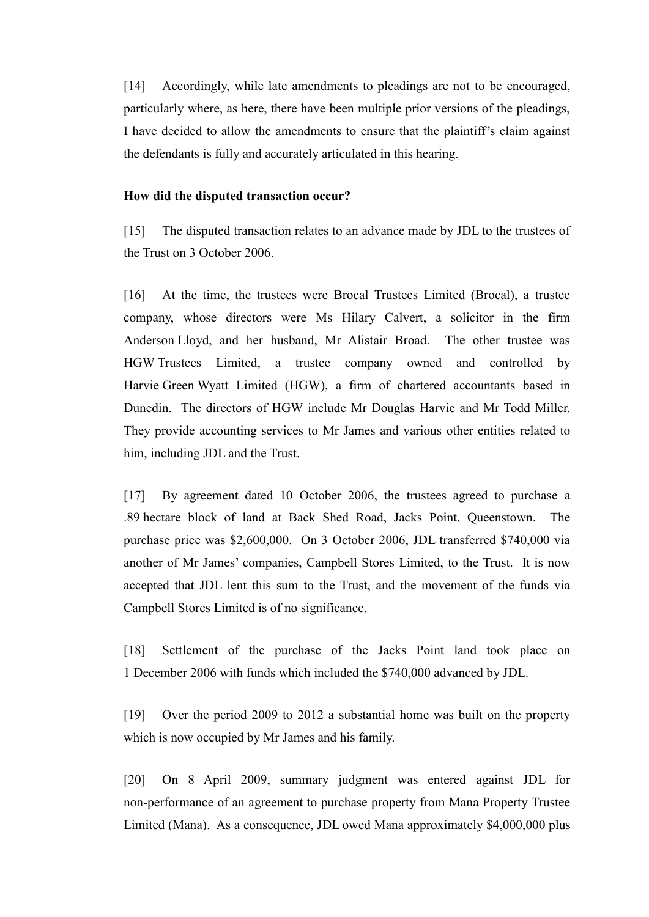[14] Accordingly, while late amendments to pleadings are not to be encouraged, particularly where, as here, there have been multiple prior versions of the pleadings, I have decided to allow the amendments to ensure that the plaintiff's claim against the defendants is fully and accurately articulated in this hearing.

#### <span id="page-5-0"></span>**How did the disputed transaction occur?**

[15] The disputed transaction relates to an advance made by JDL to the trustees of the Trust on 3 October 2006.

[16] At the time, the trustees were Brocal Trustees Limited (Brocal), a trustee company, whose directors were Ms Hilary Calvert, a solicitor in the firm Anderson Lloyd, and her husband, Mr Alistair Broad. The other trustee was HGW Trustees Limited, a trustee company owned and controlled by Harvie Green Wyatt Limited (HGW), a firm of chartered accountants based in Dunedin. The directors of HGW include Mr Douglas Harvie and Mr Todd Miller. They provide accounting services to Mr James and various other entities related to him, including JDL and the Trust.

[17] By agreement dated 10 October 2006, the trustees agreed to purchase a .89 hectare block of land at Back Shed Road, Jacks Point, Queenstown. The purchase price was \$2,600,000. On 3 October 2006, JDL transferred \$740,000 via another of Mr James' companies, Campbell Stores Limited, to the Trust. It is now accepted that JDL lent this sum to the Trust, and the movement of the funds via Campbell Stores Limited is of no significance.

[18] Settlement of the purchase of the Jacks Point land took place on 1 December 2006 with funds which included the \$740,000 advanced by JDL.

[19] Over the period 2009 to 2012 a substantial home was built on the property which is now occupied by Mr James and his family.

[20] On 8 April 2009, summary judgment was entered against JDL for non-performance of an agreement to purchase property from Mana Property Trustee Limited (Mana). As a consequence, JDL owed Mana approximately \$4,000,000 plus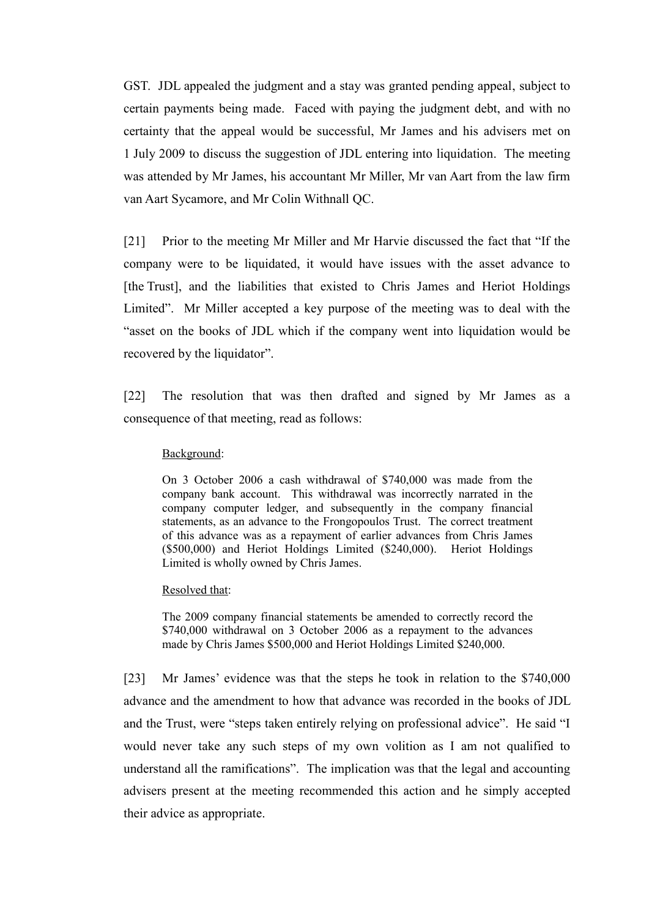GST. JDL appealed the judgment and a stay was granted pending appeal, subject to certain payments being made. Faced with paying the judgment debt, and with no certainty that the appeal would be successful, Mr James and his advisers met on 1 July 2009 to discuss the suggestion of JDL entering into liquidation. The meeting was attended by Mr James, his accountant Mr Miller, Mr van Aart from the law firm van Aart Sycamore, and Mr Colin Withnall QC.

[21] Prior to the meeting Mr Miller and Mr Harvie discussed the fact that "If the company were to be liquidated, it would have issues with the asset advance to [the Trust], and the liabilities that existed to Chris James and Heriot Holdings Limited". Mr Miller accepted a key purpose of the meeting was to deal with the "asset on the books of JDL which if the company went into liquidation would be recovered by the liquidator".

[22] The resolution that was then drafted and signed by Mr James as a consequence of that meeting, read as follows:

#### Background:

On 3 October 2006 a cash withdrawal of \$740,000 was made from the company bank account. This withdrawal was incorrectly narrated in the company computer ledger, and subsequently in the company financial statements, as an advance to the Frongopoulos Trust. The correct treatment of this advance was as a repayment of earlier advances from Chris James (\$500,000) and Heriot Holdings Limited (\$240,000). Heriot Holdings Limited is wholly owned by Chris James.

#### Resolved that:

The 2009 company financial statements be amended to correctly record the \$740,000 withdrawal on 3 October 2006 as a repayment to the advances made by Chris James \$500,000 and Heriot Holdings Limited \$240,000.

[23] Mr James' evidence was that the steps he took in relation to the \$740,000 advance and the amendment to how that advance was recorded in the books of JDL and the Trust, were "steps taken entirely relying on professional advice". He said "I would never take any such steps of my own volition as I am not qualified to understand all the ramifications". The implication was that the legal and accounting advisers present at the meeting recommended this action and he simply accepted their advice as appropriate.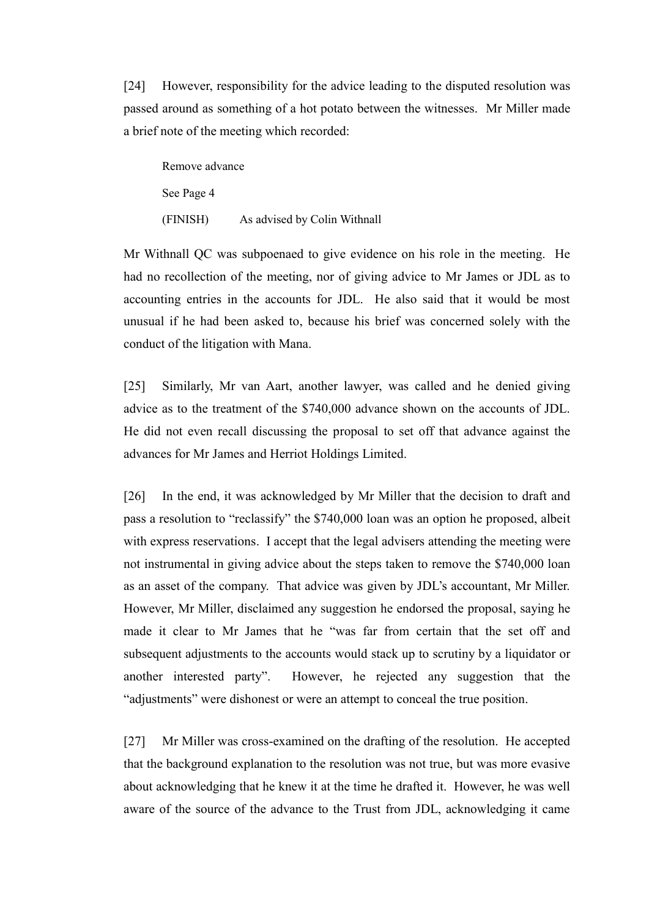[24] However, responsibility for the advice leading to the disputed resolution was passed around as something of a hot potato between the witnesses. Mr Miller made a brief note of the meeting which recorded:

| Remove advance |                              |
|----------------|------------------------------|
| See Page 4     |                              |
| (FINISH)       | As advised by Colin Withnall |

Mr Withnall QC was subpoenaed to give evidence on his role in the meeting. He had no recollection of the meeting, nor of giving advice to Mr James or JDL as to accounting entries in the accounts for JDL. He also said that it would be most unusual if he had been asked to, because his brief was concerned solely with the conduct of the litigation with Mana.

[25] Similarly, Mr van Aart, another lawyer, was called and he denied giving advice as to the treatment of the \$740,000 advance shown on the accounts of JDL. He did not even recall discussing the proposal to set off that advance against the advances for Mr James and Herriot Holdings Limited.

[26] In the end, it was acknowledged by Mr Miller that the decision to draft and pass a resolution to "reclassify" the \$740,000 loan was an option he proposed, albeit with express reservations. I accept that the legal advisers attending the meeting were not instrumental in giving advice about the steps taken to remove the \$740,000 loan as an asset of the company. That advice was given by JDL's accountant, Mr Miller. However, Mr Miller, disclaimed any suggestion he endorsed the proposal, saying he made it clear to Mr James that he "was far from certain that the set off and subsequent adjustments to the accounts would stack up to scrutiny by a liquidator or another interested party". However, he rejected any suggestion that the "adjustments" were dishonest or were an attempt to conceal the true position.

[27] Mr Miller was cross-examined on the drafting of the resolution. He accepted that the background explanation to the resolution was not true, but was more evasive about acknowledging that he knew it at the time he drafted it. However, he was well aware of the source of the advance to the Trust from JDL, acknowledging it came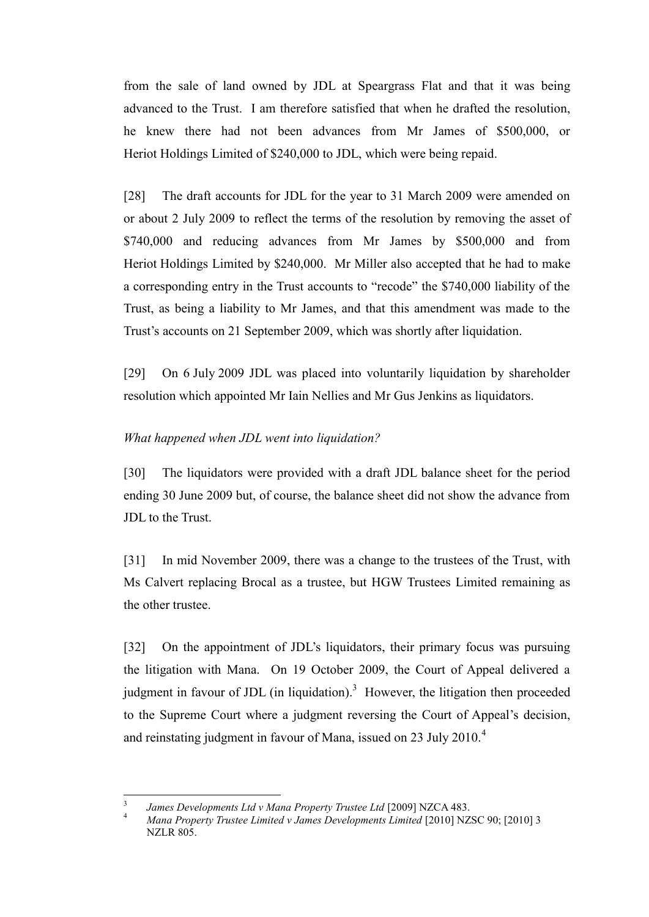from the sale of land owned by JDL at Speargrass Flat and that it was being advanced to the Trust. I am therefore satisfied that when he drafted the resolution, he knew there had not been advances from Mr James of \$500,000, or Heriot Holdings Limited of \$240,000 to JDL, which were being repaid.

[28] The draft accounts for JDL for the year to 31 March 2009 were amended on or about 2 July 2009 to reflect the terms of the resolution by removing the asset of \$740,000 and reducing advances from Mr James by \$500,000 and from Heriot Holdings Limited by \$240,000. Mr Miller also accepted that he had to make a corresponding entry in the Trust accounts to "recode" the \$740,000 liability of the Trust, as being a liability to Mr James, and that this amendment was made to the Trust's accounts on 21 September 2009, which was shortly after liquidation.

[29] On 6 July 2009 JDL was placed into voluntarily liquidation by shareholder resolution which appointed Mr Iain Nellies and Mr Gus Jenkins as liquidators.

### <span id="page-8-0"></span>*What happened when JDL went into liquidation?*

[30] The liquidators were provided with a draft JDL balance sheet for the period ending 30 June 2009 but, of course, the balance sheet did not show the advance from JDL to the Trust.

[31] In mid November 2009, there was a change to the trustees of the Trust, with Ms Calvert replacing Brocal as a trustee, but HGW Trustees Limited remaining as the other trustee.

[32] On the appointment of JDL's liquidators, their primary focus was pursuing the litigation with Mana. On 19 October 2009, the Court of Appeal delivered a judgment in favour of JDL (in liquidation).<sup>3</sup> However, the litigation then proceeded to the Supreme Court where a judgment reversing the Court of Appeal's decision, and reinstating judgment in favour of Mana, issued on 23 July 2010.<sup>4</sup>

 $\overline{a}$ 

<sup>3</sup> *James Developments Ltd v Mana Property Trustee Ltd* [2009] NZCA 483.

<sup>4</sup> *Mana Property Trustee Limited v James Developments Limited* [2010] NZSC 90; [2010] 3 NZLR 805.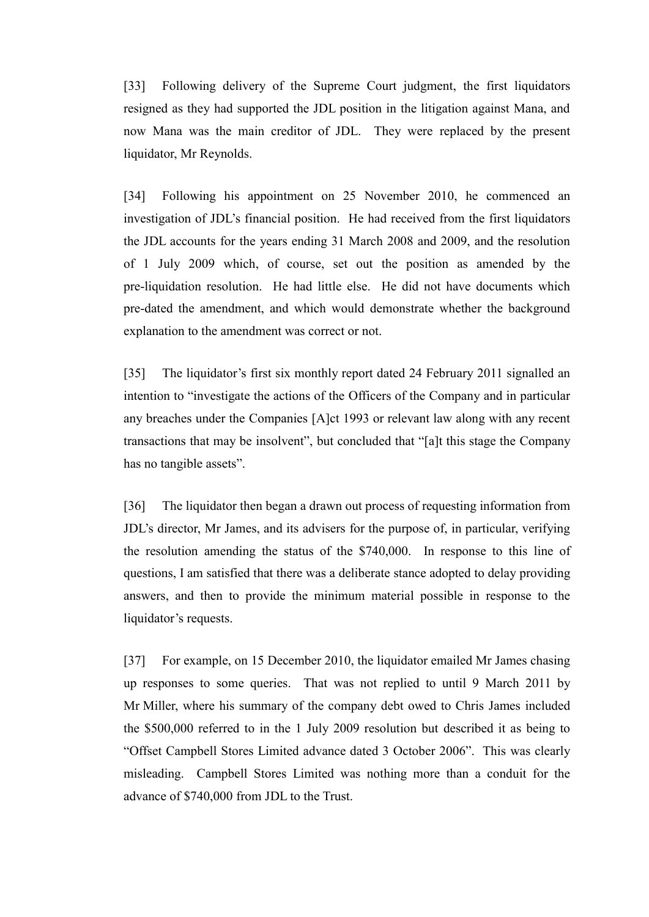[33] Following delivery of the Supreme Court judgment, the first liquidators resigned as they had supported the JDL position in the litigation against Mana, and now Mana was the main creditor of JDL. They were replaced by the present liquidator, Mr Reynolds.

[34] Following his appointment on 25 November 2010, he commenced an investigation of JDL's financial position. He had received from the first liquidators the JDL accounts for the years ending 31 March 2008 and 2009, and the resolution of 1 July 2009 which, of course, set out the position as amended by the pre-liquidation resolution. He had little else. He did not have documents which pre-dated the amendment, and which would demonstrate whether the background explanation to the amendment was correct or not.

[35] The liquidator's first six monthly report dated 24 February 2011 signalled an intention to "investigate the actions of the Officers of the Company and in particular any breaches under the Companies [A]ct 1993 or relevant law along with any recent transactions that may be insolvent", but concluded that "[a]t this stage the Company has no tangible assets".

[36] The liquidator then began a drawn out process of requesting information from JDL's director, Mr James, and its advisers for the purpose of, in particular, verifying the resolution amending the status of the \$740,000. In response to this line of questions, I am satisfied that there was a deliberate stance adopted to delay providing answers, and then to provide the minimum material possible in response to the liquidator's requests.

[37] For example, on 15 December 2010, the liquidator emailed Mr James chasing up responses to some queries. That was not replied to until 9 March 2011 by Mr Miller, where his summary of the company debt owed to Chris James included the \$500,000 referred to in the 1 July 2009 resolution but described it as being to "Offset Campbell Stores Limited advance dated 3 October 2006". This was clearly misleading. Campbell Stores Limited was nothing more than a conduit for the advance of \$740,000 from JDL to the Trust.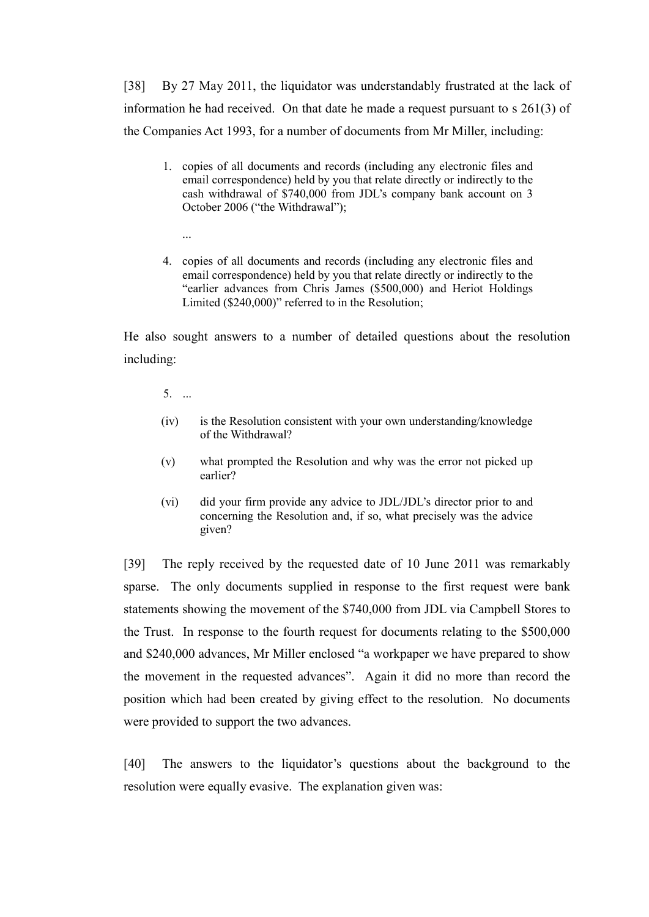[38] By 27 May 2011, the liquidator was understandably frustrated at the lack of information he had received. On that date he made a request pursuant to s 261(3) of the Companies Act 1993, for a number of documents from Mr Miller, including:

- 1. copies of all documents and records (including any electronic files and email correspondence) held by you that relate directly or indirectly to the cash withdrawal of \$740,000 from JDL's company bank account on 3 October 2006 ("the Withdrawal");
- 4. copies of all documents and records (including any electronic files and email correspondence) held by you that relate directly or indirectly to the "earlier advances from Chris James (\$500,000) and Heriot Holdings Limited (\$240,000)" referred to in the Resolution;

He also sought answers to a number of detailed questions about the resolution including:

5. ...

...

- (iv) is the Resolution consistent with your own understanding/knowledge of the Withdrawal?
- (v) what prompted the Resolution and why was the error not picked up earlier?
- (vi) did your firm provide any advice to JDL/JDL's director prior to and concerning the Resolution and, if so, what precisely was the advice given?

[39] The reply received by the requested date of 10 June 2011 was remarkably sparse. The only documents supplied in response to the first request were bank statements showing the movement of the \$740,000 from JDL via Campbell Stores to the Trust. In response to the fourth request for documents relating to the \$500,000 and \$240,000 advances, Mr Miller enclosed "a workpaper we have prepared to show the movement in the requested advances". Again it did no more than record the position which had been created by giving effect to the resolution. No documents were provided to support the two advances.

[40] The answers to the liquidator's questions about the background to the resolution were equally evasive. The explanation given was: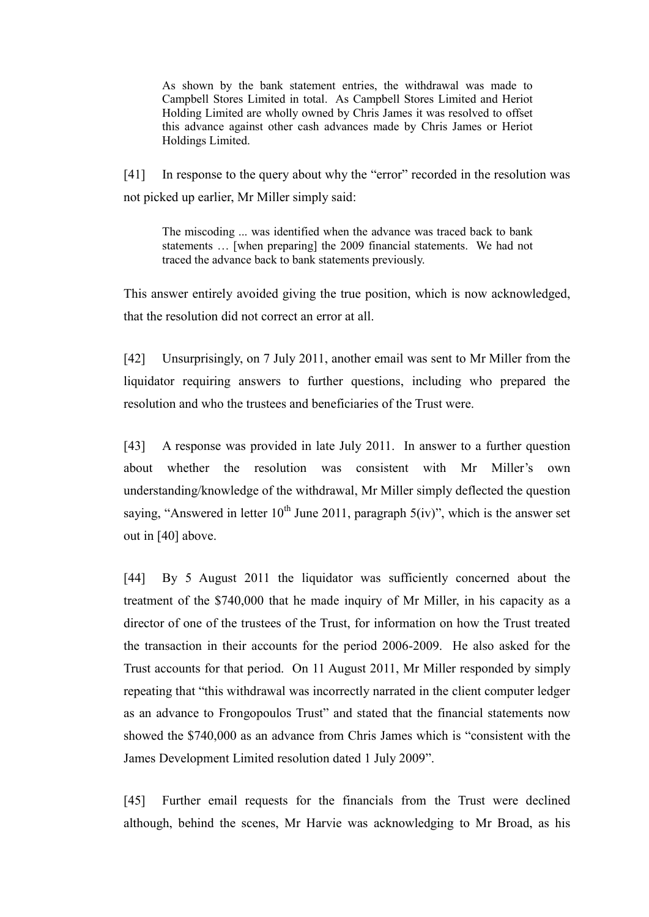As shown by the bank statement entries, the withdrawal was made to Campbell Stores Limited in total. As Campbell Stores Limited and Heriot Holding Limited are wholly owned by Chris James it was resolved to offset this advance against other cash advances made by Chris James or Heriot Holdings Limited.

[41] In response to the query about why the "error" recorded in the resolution was not picked up earlier, Mr Miller simply said:

The miscoding ... was identified when the advance was traced back to bank statements … [when preparing] the 2009 financial statements. We had not traced the advance back to bank statements previously.

This answer entirely avoided giving the true position, which is now acknowledged, that the resolution did not correct an error at all.

[42] Unsurprisingly, on 7 July 2011, another email was sent to Mr Miller from the liquidator requiring answers to further questions, including who prepared the resolution and who the trustees and beneficiaries of the Trust were.

[43] A response was provided in late July 2011. In answer to a further question about whether the resolution was consistent with Mr Miller's own understanding/knowledge of the withdrawal, Mr Miller simply deflected the question saying, "Answered in letter  $10^{th}$  June 2011, paragraph  $5(iv)$ ", which is the answer set out in [40] above.

[44] By 5 August 2011 the liquidator was sufficiently concerned about the treatment of the \$740,000 that he made inquiry of Mr Miller, in his capacity as a director of one of the trustees of the Trust, for information on how the Trust treated the transaction in their accounts for the period 2006-2009. He also asked for the Trust accounts for that period. On 11 August 2011, Mr Miller responded by simply repeating that "this withdrawal was incorrectly narrated in the client computer ledger as an advance to Frongopoulos Trust" and stated that the financial statements now showed the \$740,000 as an advance from Chris James which is "consistent with the James Development Limited resolution dated 1 July 2009".

[45] Further email requests for the financials from the Trust were declined although, behind the scenes, Mr Harvie was acknowledging to Mr Broad, as his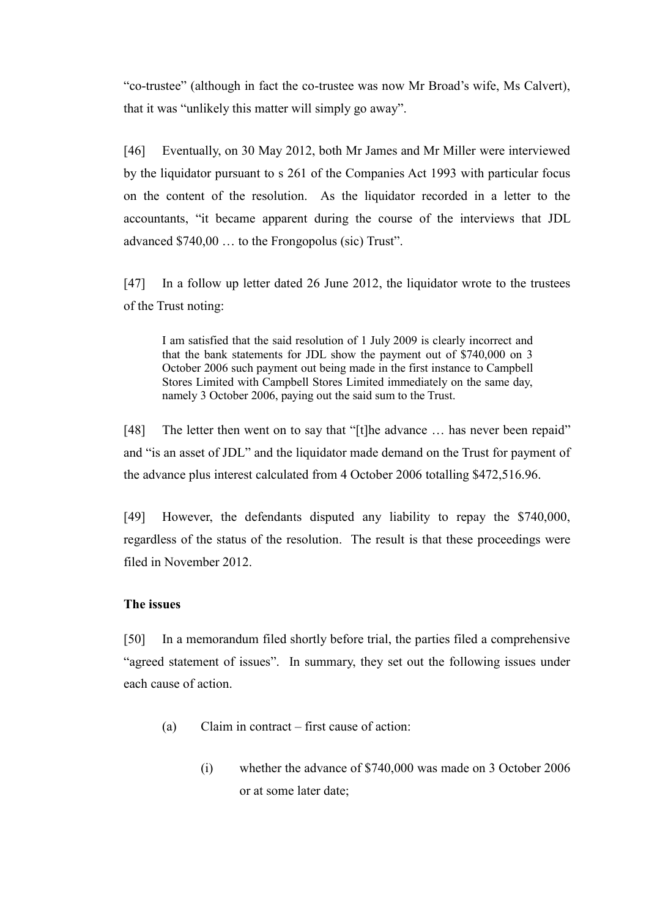"co-trustee" (although in fact the co-trustee was now Mr Broad's wife, Ms Calvert), that it was "unlikely this matter will simply go away".

[46] Eventually, on 30 May 2012, both Mr James and Mr Miller were interviewed by the liquidator pursuant to s 261 of the Companies Act 1993 with particular focus on the content of the resolution. As the liquidator recorded in a letter to the accountants, "it became apparent during the course of the interviews that JDL advanced \$740,00 … to the Frongopolus (sic) Trust".

[47] In a follow up letter dated 26 June 2012, the liquidator wrote to the trustees of the Trust noting:

I am satisfied that the said resolution of 1 July 2009 is clearly incorrect and that the bank statements for JDL show the payment out of \$740,000 on 3 October 2006 such payment out being made in the first instance to Campbell Stores Limited with Campbell Stores Limited immediately on the same day, namely 3 October 2006, paying out the said sum to the Trust.

[48] The letter then went on to say that "[t]he advance ... has never been repaid" and "is an asset of JDL" and the liquidator made demand on the Trust for payment of the advance plus interest calculated from 4 October 2006 totalling \$472,516.96.

[49] However, the defendants disputed any liability to repay the \$740,000, regardless of the status of the resolution. The result is that these proceedings were filed in November 2012.

### <span id="page-12-0"></span>**The issues**

[50] In a memorandum filed shortly before trial, the parties filed a comprehensive "agreed statement of issues". In summary, they set out the following issues under each cause of action.

- (a) Claim in contract first cause of action:
	- (i) whether the advance of \$740,000 was made on 3 October 2006 or at some later date;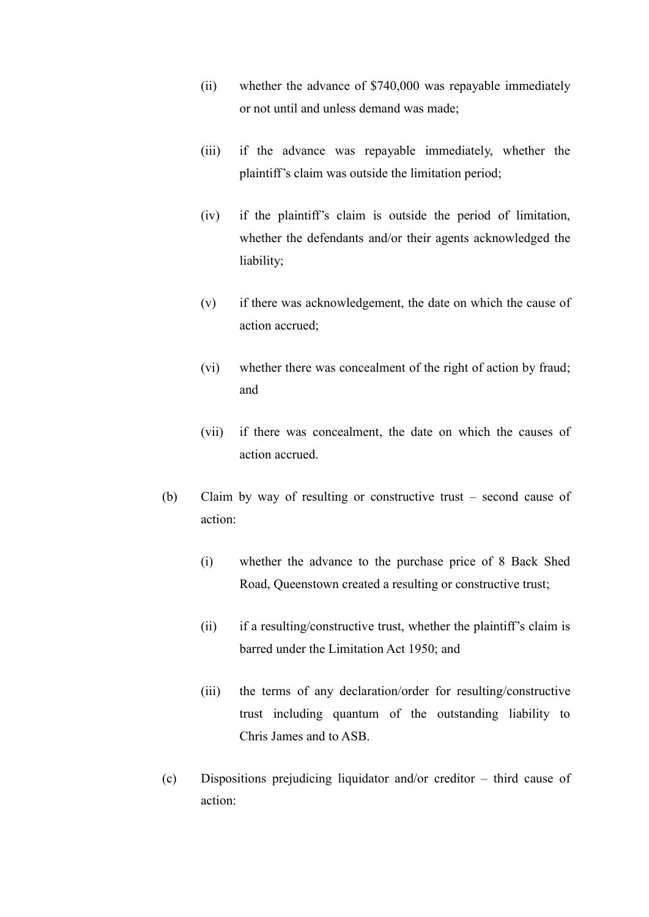- (ii) whether the advance of \$740,000 was repayable immediately or not until and unless demand was made;
- (iii) if the advance was repayable immediately, whether the plaintiff's claim was outside the limitation period;
- (iv) if the plaintiff's claim is outside the period of limitation, whether the defendants and/or their agents acknowledged the liability;
- (v) if there was acknowledgement, the date on which the cause of action accrued;
- (vi) whether there was concealment of the right of action by fraud; and
- (vii) if there was concealment, the date on which the causes of action accrued.
- (b) Claim by way of resulting or constructive trust second cause of action:
	- (i) whether the advance to the purchase price of 8 Back Shed Road, Queenstown created a resulting or constructive trust;
	- (ii) if a resulting/constructive trust, whether the plaintiff's claim is barred under the Limitation Act 1950; and
	- (iii) the terms of any declaration/order for resulting/constructive trust including quantum of the outstanding liability to Chris James and to ASB.
- (c) Dispositions prejudicing liquidator and/or creditor third cause of action: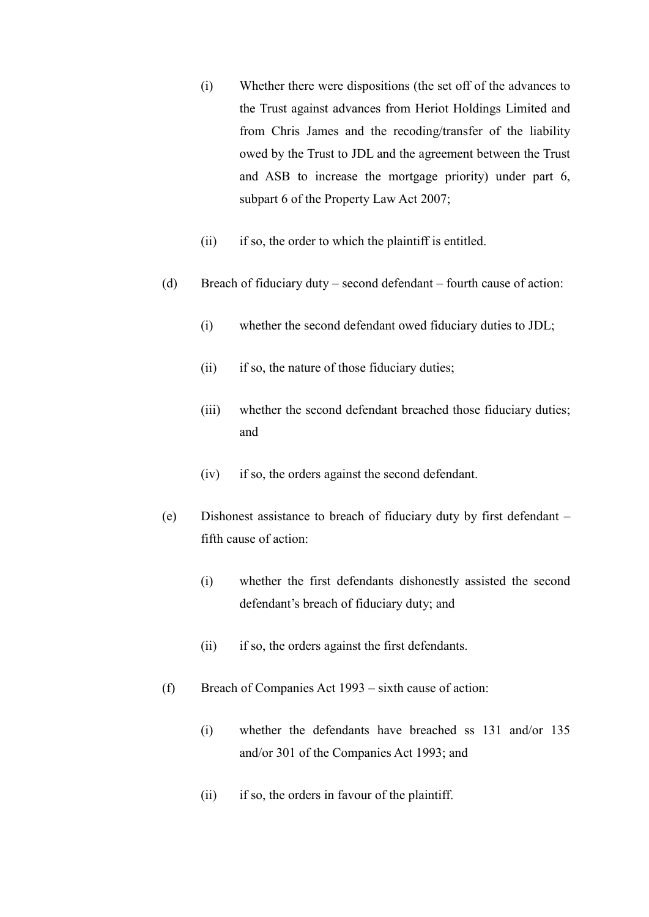- (i) Whether there were dispositions (the set off of the advances to the Trust against advances from Heriot Holdings Limited and from Chris James and the recoding/transfer of the liability owed by the Trust to JDL and the agreement between the Trust and ASB to increase the mortgage priority) under part 6, subpart 6 of the Property Law Act 2007;
- (ii) if so, the order to which the plaintiff is entitled.
- (d) Breach of fiduciary duty second defendant fourth cause of action:
	- (i) whether the second defendant owed fiduciary duties to JDL;
	- (ii) if so, the nature of those fiduciary duties;
	- (iii) whether the second defendant breached those fiduciary duties; and
	- (iv) if so, the orders against the second defendant.
- (e) Dishonest assistance to breach of fiduciary duty by first defendant fifth cause of action:
	- (i) whether the first defendants dishonestly assisted the second defendant's breach of fiduciary duty; and
	- (ii) if so, the orders against the first defendants.
- (f) Breach of Companies Act 1993 sixth cause of action:
	- (i) whether the defendants have breached ss 131 and/or 135 and/or 301 of the Companies Act 1993; and
	- (ii) if so, the orders in favour of the plaintiff.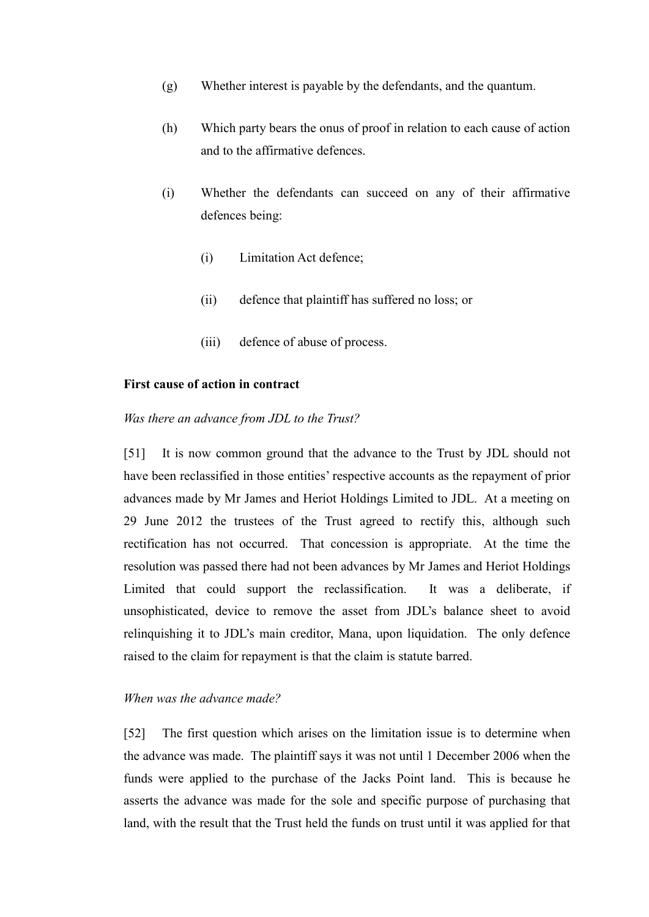- (g) Whether interest is payable by the defendants, and the quantum.
- (h) Which party bears the onus of proof in relation to each cause of action and to the affirmative defences.
- (i) Whether the defendants can succeed on any of their affirmative defences being:
	- (i) Limitation Act defence;
	- (ii) defence that plaintiff has suffered no loss; or
	- (iii) defence of abuse of process.

#### <span id="page-15-0"></span>**First cause of action in contract**

#### <span id="page-15-1"></span>*Was there an advance from JDL to the Trust?*

[51] It is now common ground that the advance to the Trust by JDL should not have been reclassified in those entities' respective accounts as the repayment of prior advances made by Mr James and Heriot Holdings Limited to JDL. At a meeting on 29 June 2012 the trustees of the Trust agreed to rectify this, although such rectification has not occurred. That concession is appropriate. At the time the resolution was passed there had not been advances by Mr James and Heriot Holdings Limited that could support the reclassification. It was a deliberate, if unsophisticated, device to remove the asset from JDL's balance sheet to avoid relinquishing it to JDL's main creditor, Mana, upon liquidation. The only defence raised to the claim for repayment is that the claim is statute barred.

### <span id="page-15-2"></span>*When was the advance made?*

[52] The first question which arises on the limitation issue is to determine when the advance was made. The plaintiff says it was not until 1 December 2006 when the funds were applied to the purchase of the Jacks Point land. This is because he asserts the advance was made for the sole and specific purpose of purchasing that land, with the result that the Trust held the funds on trust until it was applied for that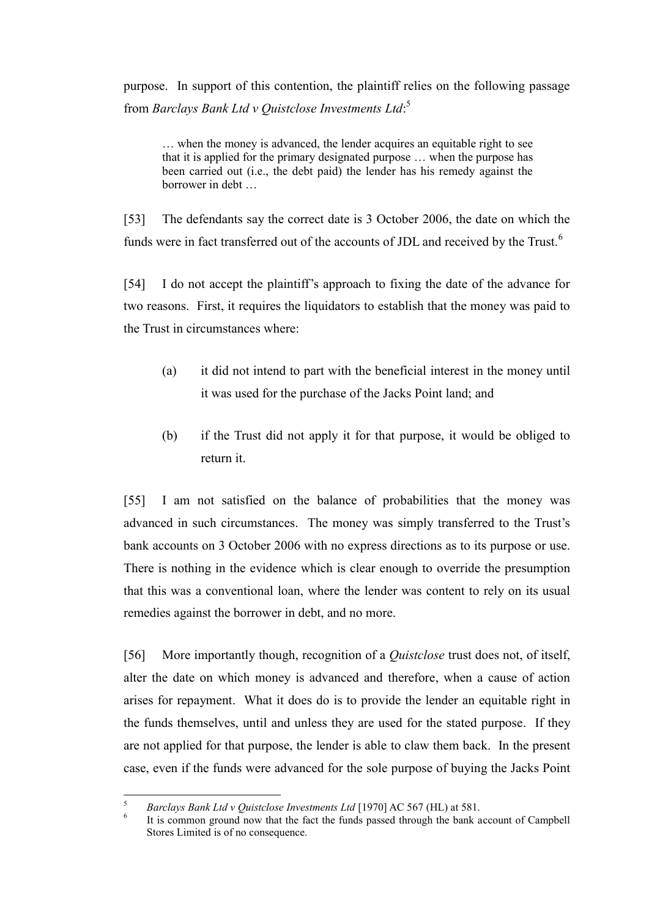purpose. In support of this contention, the plaintiff relies on the following passage from *Barclays Bank Ltd v Quistclose Investments Ltd*: 5

… when the money is advanced, the lender acquires an equitable right to see that it is applied for the primary designated purpose … when the purpose has been carried out (i.e., the debt paid) the lender has his remedy against the borrower in debt …

[53] The defendants say the correct date is 3 October 2006, the date on which the funds were in fact transferred out of the accounts of JDL and received by the Trust.<sup>6</sup>

[54] I do not accept the plaintiff's approach to fixing the date of the advance for two reasons. First, it requires the liquidators to establish that the money was paid to the Trust in circumstances where:

- (a) it did not intend to part with the beneficial interest in the money until it was used for the purchase of the Jacks Point land; and
- (b) if the Trust did not apply it for that purpose, it would be obliged to return it.

[55] I am not satisfied on the balance of probabilities that the money was advanced in such circumstances. The money was simply transferred to the Trust's bank accounts on 3 October 2006 with no express directions as to its purpose or use. There is nothing in the evidence which is clear enough to override the presumption that this was a conventional loan, where the lender was content to rely on its usual remedies against the borrower in debt, and no more.

[56] More importantly though, recognition of a *Quistclose* trust does not, of itself, alter the date on which money is advanced and therefore, when a cause of action arises for repayment. What it does do is to provide the lender an equitable right in the funds themselves, until and unless they are used for the stated purpose. If they are not applied for that purpose, the lender is able to claw them back. In the present case, even if the funds were advanced for the sole purpose of buying the Jacks Point

 $\overline{a}$ 

<sup>5</sup> *Barclays Bank Ltd v Quistclose Investments Ltd* [1970] AC 567 (HL) at 581.

<sup>6</sup> It is common ground now that the fact the funds passed through the bank account of Campbell Stores Limited is of no consequence.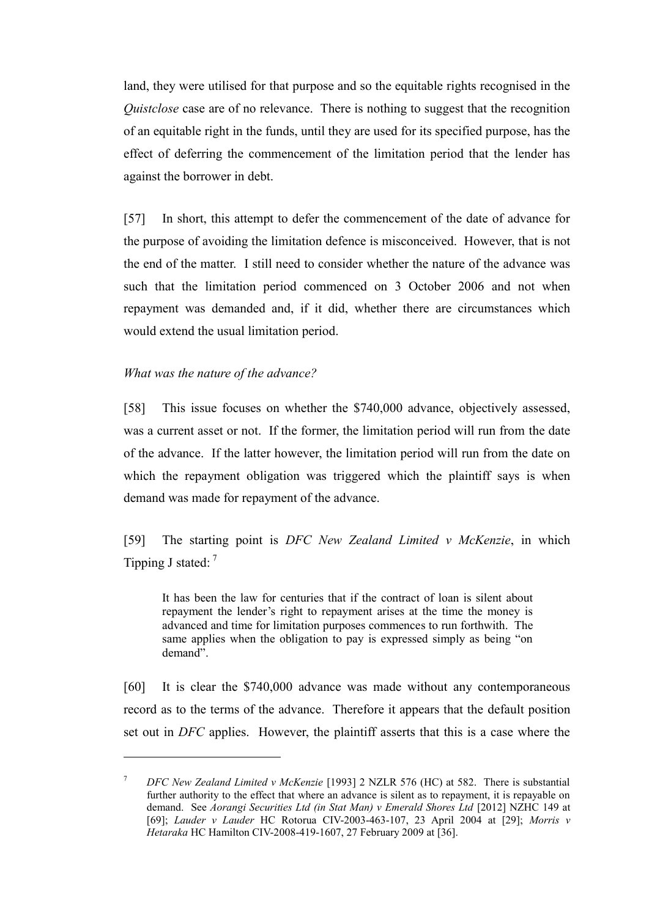land, they were utilised for that purpose and so the equitable rights recognised in the *Quistclose* case are of no relevance. There is nothing to suggest that the recognition of an equitable right in the funds, until they are used for its specified purpose, has the effect of deferring the commencement of the limitation period that the lender has against the borrower in debt.

[57] In short, this attempt to defer the commencement of the date of advance for the purpose of avoiding the limitation defence is misconceived. However, that is not the end of the matter. I still need to consider whether the nature of the advance was such that the limitation period commenced on 3 October 2006 and not when repayment was demanded and, if it did, whether there are circumstances which would extend the usual limitation period.

#### <span id="page-17-0"></span>*What was the nature of the advance?*

 $\overline{a}$ 

[58] This issue focuses on whether the \$740,000 advance, objectively assessed, was a current asset or not. If the former, the limitation period will run from the date of the advance. If the latter however, the limitation period will run from the date on which the repayment obligation was triggered which the plaintiff says is when demand was made for repayment of the advance.

[59] The starting point is *DFC New Zealand Limited v McKenzie*, in which Tipping J stated:  $<sup>7</sup>$ </sup>

It has been the law for centuries that if the contract of loan is silent about repayment the lender's right to repayment arises at the time the money is advanced and time for limitation purposes commences to run forthwith. The same applies when the obligation to pay is expressed simply as being "on demand".

[60] It is clear the \$740,000 advance was made without any contemporaneous record as to the terms of the advance. Therefore it appears that the default position set out in *DFC* applies. However, the plaintiff asserts that this is a case where the

<sup>7</sup> *DFC New Zealand Limited v McKenzie* [1993] 2 NZLR 576 (HC) at 582. There is substantial further authority to the effect that where an advance is silent as to repayment, it is repayable on demand. See *Aorangi Securities Ltd (in Stat Man) v Emerald Shores Ltd* [2012] NZHC 149 at [69]; *Lauder v Lauder* HC Rotorua CIV-2003-463-107, 23 April 2004 at [29]; *Morris v Hetaraka* HC Hamilton CIV-2008-419-1607, 27 February 2009 at [36].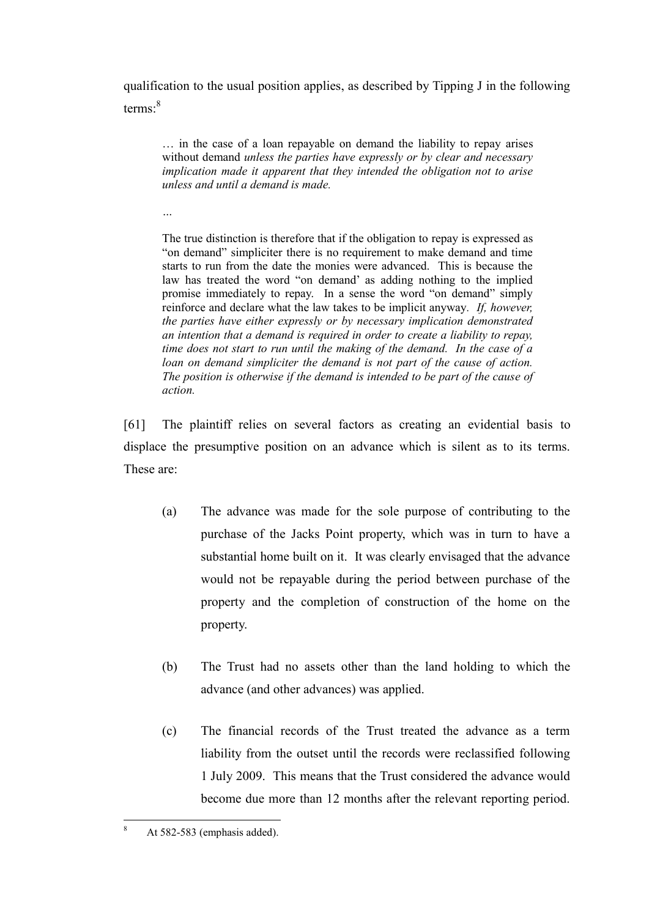qualification to the usual position applies, as described by Tipping J in the following terms:<sup>8</sup>

… in the case of a loan repayable on demand the liability to repay arises without demand *unless the parties have expressly or by clear and necessary implication made it apparent that they intended the obligation not to arise unless and until a demand is made.*

*…*

The true distinction is therefore that if the obligation to repay is expressed as "on demand" simpliciter there is no requirement to make demand and time starts to run from the date the monies were advanced. This is because the law has treated the word "on demand' as adding nothing to the implied promise immediately to repay. In a sense the word "on demand" simply reinforce and declare what the law takes to be implicit anyway*. If, however, the parties have either expressly or by necessary implication demonstrated an intention that a demand is required in order to create a liability to repay, time does not start to run until the making of the demand. In the case of a loan on demand simpliciter the demand is not part of the cause of action. The position is otherwise if the demand is intended to be part of the cause of action.*

[61] The plaintiff relies on several factors as creating an evidential basis to displace the presumptive position on an advance which is silent as to its terms. These are:

- (a) The advance was made for the sole purpose of contributing to the purchase of the Jacks Point property, which was in turn to have a substantial home built on it. It was clearly envisaged that the advance would not be repayable during the period between purchase of the property and the completion of construction of the home on the property.
- (b) The Trust had no assets other than the land holding to which the advance (and other advances) was applied.
- (c) The financial records of the Trust treated the advance as a term liability from the outset until the records were reclassified following 1 July 2009. This means that the Trust considered the advance would become due more than 12 months after the relevant reporting period.

 $\overline{8}$ At 582-583 (emphasis added).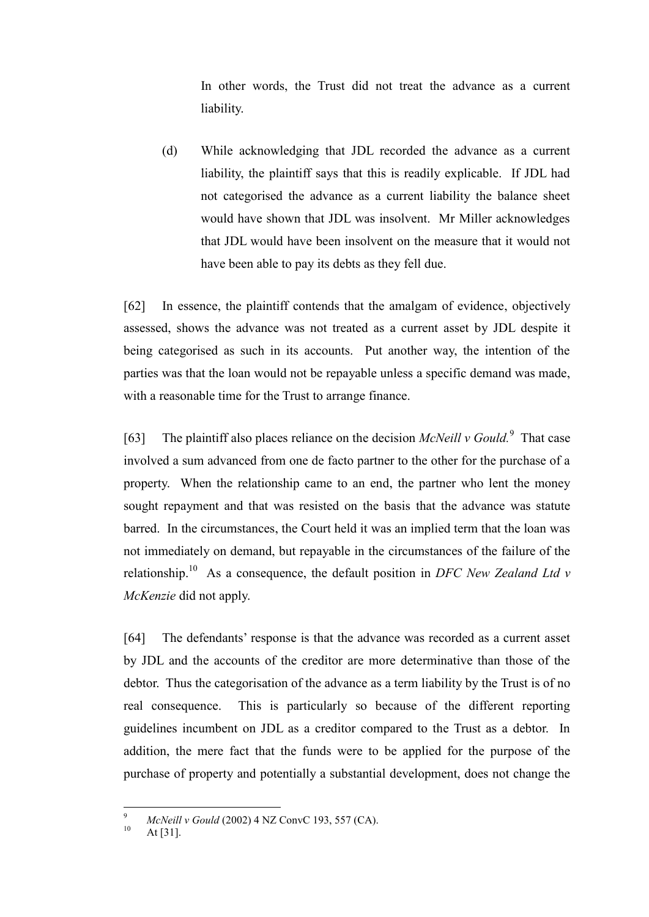In other words, the Trust did not treat the advance as a current liability.

(d) While acknowledging that JDL recorded the advance as a current liability, the plaintiff says that this is readily explicable. If JDL had not categorised the advance as a current liability the balance sheet would have shown that JDL was insolvent. Mr Miller acknowledges that JDL would have been insolvent on the measure that it would not have been able to pay its debts as they fell due.

[62] In essence, the plaintiff contends that the amalgam of evidence, objectively assessed, shows the advance was not treated as a current asset by JDL despite it being categorised as such in its accounts. Put another way, the intention of the parties was that the loan would not be repayable unless a specific demand was made, with a reasonable time for the Trust to arrange finance.

[63] The plaintiff also places reliance on the decision *McNeill v Gould.*<sup>9</sup> That case involved a sum advanced from one de facto partner to the other for the purchase of a property. When the relationship came to an end, the partner who lent the money sought repayment and that was resisted on the basis that the advance was statute barred. In the circumstances, the Court held it was an implied term that the loan was not immediately on demand, but repayable in the circumstances of the failure of the relationship. 10 As a consequence, the default position in *DFC New Zealand Ltd v McKenzie* did not apply.

[64] The defendants' response is that the advance was recorded as a current asset by JDL and the accounts of the creditor are more determinative than those of the debtor. Thus the categorisation of the advance as a term liability by the Trust is of no real consequence. This is particularly so because of the different reporting guidelines incumbent on JDL as a creditor compared to the Trust as a debtor. In addition, the mere fact that the funds were to be applied for the purpose of the purchase of property and potentially a substantial development, does not change the

 $\overline{9}$ <sup>9</sup> *McNeill v Gould* (2002) 4 NZ ConvC 193, 557 (CA).

At  $[31]$ .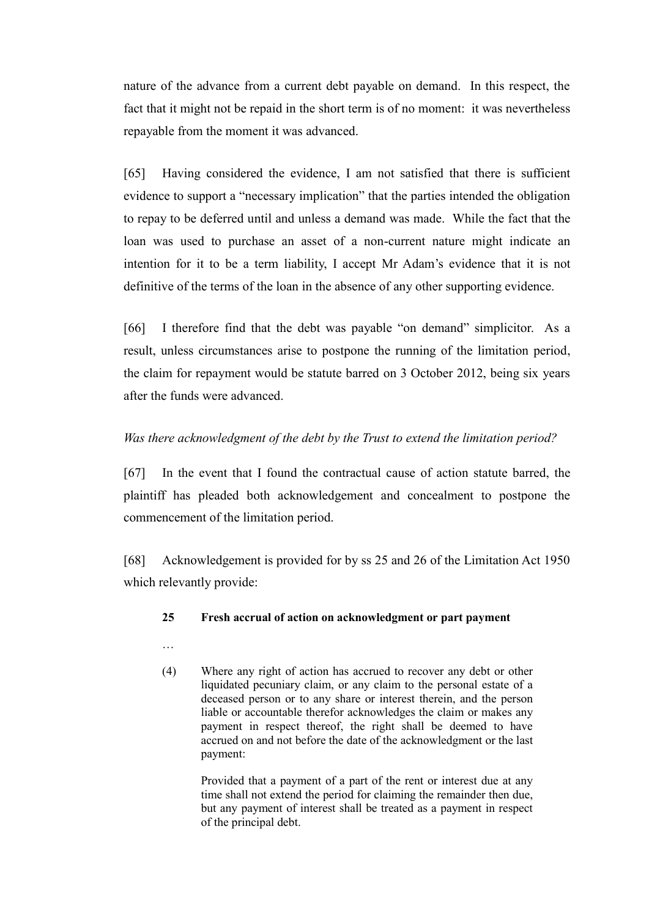nature of the advance from a current debt payable on demand. In this respect, the fact that it might not be repaid in the short term is of no moment: it was nevertheless repayable from the moment it was advanced.

[65] Having considered the evidence, I am not satisfied that there is sufficient evidence to support a "necessary implication" that the parties intended the obligation to repay to be deferred until and unless a demand was made. While the fact that the loan was used to purchase an asset of a non-current nature might indicate an intention for it to be a term liability, I accept Mr Adam's evidence that it is not definitive of the terms of the loan in the absence of any other supporting evidence.

[66] I therefore find that the debt was payable "on demand" simplicitor. As a result, unless circumstances arise to postpone the running of the limitation period, the claim for repayment would be statute barred on 3 October 2012, being six years after the funds were advanced.

# <span id="page-20-0"></span>*Was there acknowledgment of the debt by the Trust to extend the limitation period?*

[67] In the event that I found the contractual cause of action statute barred, the plaintiff has pleaded both acknowledgement and concealment to postpone the commencement of the limitation period.

[68] Acknowledgement is provided for by ss 25 and 26 of the Limitation Act 1950 which relevantly provide:

#### **25 Fresh accrual of action on acknowledgment or part payment**

- …
- (4) Where any right of action has accrued to recover any debt or other liquidated pecuniary claim, or any claim to the personal estate of a deceased person or to any share or interest therein, and the person liable or accountable therefor acknowledges the claim or makes any payment in respect thereof, the right shall be deemed to have accrued on and not before the date of the acknowledgment or the last payment:

Provided that a payment of a part of the rent or interest due at any time shall not extend the period for claiming the remainder then due, but any payment of interest shall be treated as a payment in respect of the principal debt.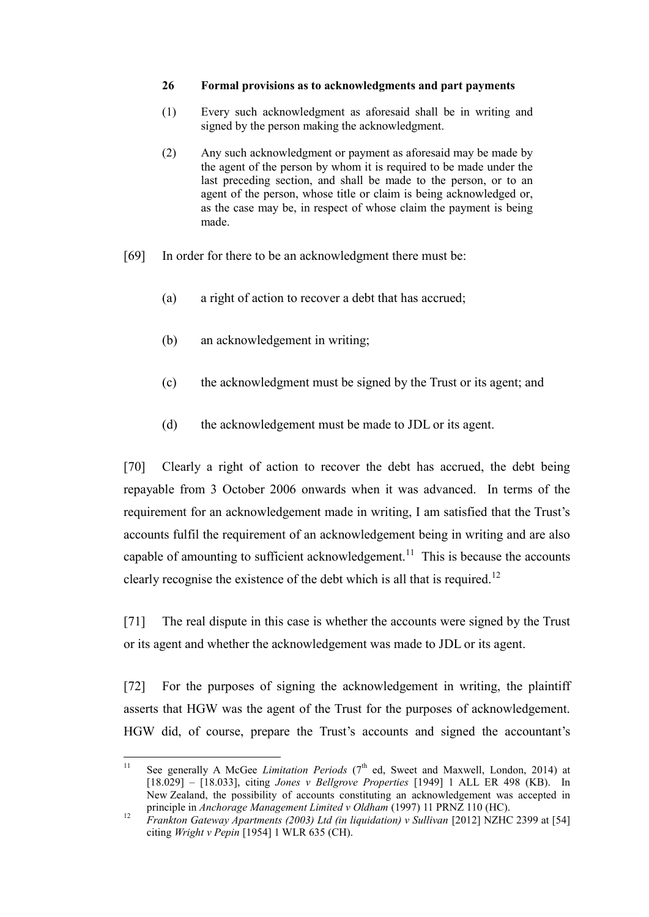#### **26 Formal provisions as to acknowledgments and part payments**

- (1) Every such acknowledgment as aforesaid shall be in writing and signed by the person making the acknowledgment.
- (2) Any such acknowledgment or payment as aforesaid may be made by the agent of the person by whom it is required to be made under the last preceding section, and shall be made to the person, or to an agent of the person, whose title or claim is being acknowledged or, as the case may be, in respect of whose claim the payment is being made.
- [69] In order for there to be an acknowledgment there must be:
	- (a) a right of action to recover a debt that has accrued;
	- (b) an acknowledgement in writing;
	- (c) the acknowledgment must be signed by the Trust or its agent; and
	- (d) the acknowledgement must be made to JDL or its agent.

[70] Clearly a right of action to recover the debt has accrued, the debt being repayable from 3 October 2006 onwards when it was advanced. In terms of the requirement for an acknowledgement made in writing, I am satisfied that the Trust's accounts fulfil the requirement of an acknowledgement being in writing and are also capable of amounting to sufficient acknowledgement.<sup>11</sup> This is because the accounts clearly recognise the existence of the debt which is all that is required.<sup>12</sup>

[71] The real dispute in this case is whether the accounts were signed by the Trust or its agent and whether the acknowledgement was made to JDL or its agent.

[72] For the purposes of signing the acknowledgement in writing, the plaintiff asserts that HGW was the agent of the Trust for the purposes of acknowledgement. HGW did, of course, prepare the Trust's accounts and signed the accountant's

 $11$ See generally A McGee *Limitation Periods* (7<sup>th</sup> ed, Sweet and Maxwell, London, 2014) at [18.029] – [18.033], citing *Jones v Bellgrove Properties* [1949] 1 ALL ER 498 (KB). In New Zealand, the possibility of accounts constituting an acknowledgement was accepted in principle in *Anchorage Management Limited v Oldham* (1997) 11 PRNZ 110 (HC).

<sup>12</sup> *Frankton Gateway Apartments (2003) Ltd (in liquidation) v Sullivan* [2012] NZHC 2399 at [54] citing *Wright v Pepin* [1954] 1 WLR 635 (CH).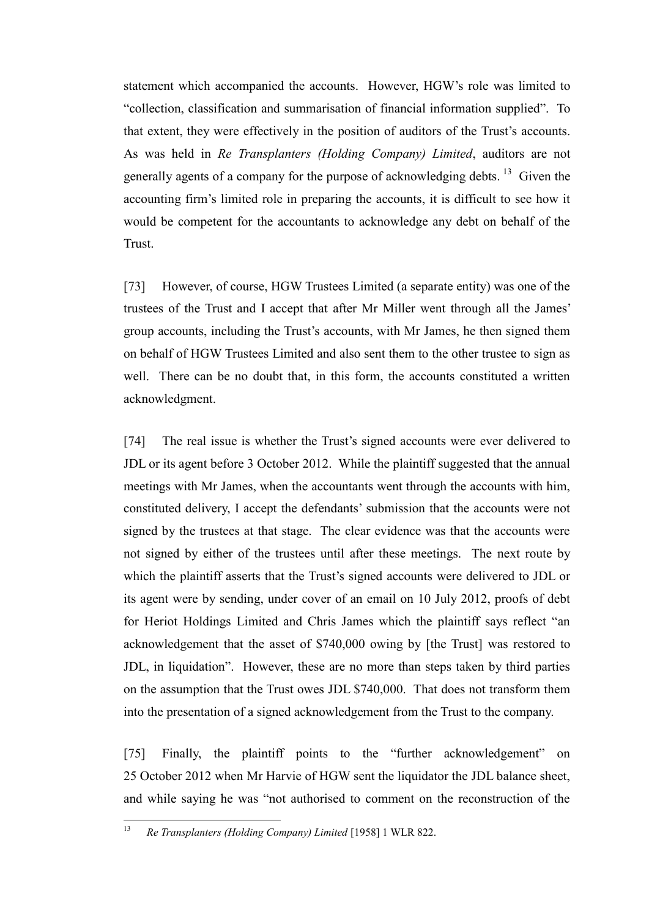statement which accompanied the accounts. However, HGW's role was limited to "collection, classification and summarisation of financial information supplied". To that extent, they were effectively in the position of auditors of the Trust's accounts. As was held in *Re Transplanters (Holding Company) Limited*, auditors are not generally agents of a company for the purpose of acknowledging debts.<sup>13</sup> Given the accounting firm's limited role in preparing the accounts, it is difficult to see how it would be competent for the accountants to acknowledge any debt on behalf of the Trust.

[73] However, of course, HGW Trustees Limited (a separate entity) was one of the trustees of the Trust and I accept that after Mr Miller went through all the James' group accounts, including the Trust's accounts, with Mr James, he then signed them on behalf of HGW Trustees Limited and also sent them to the other trustee to sign as well. There can be no doubt that, in this form, the accounts constituted a written acknowledgment.

[74] The real issue is whether the Trust's signed accounts were ever delivered to JDL or its agent before 3 October 2012. While the plaintiff suggested that the annual meetings with Mr James, when the accountants went through the accounts with him, constituted delivery, I accept the defendants' submission that the accounts were not signed by the trustees at that stage. The clear evidence was that the accounts were not signed by either of the trustees until after these meetings. The next route by which the plaintiff asserts that the Trust's signed accounts were delivered to JDL or its agent were by sending, under cover of an email on 10 July 2012, proofs of debt for Heriot Holdings Limited and Chris James which the plaintiff says reflect "an acknowledgement that the asset of \$740,000 owing by [the Trust] was restored to JDL, in liquidation". However, these are no more than steps taken by third parties on the assumption that the Trust owes JDL \$740,000. That does not transform them into the presentation of a signed acknowledgement from the Trust to the company.

[75] Finally, the plaintiff points to the "further acknowledgement" on 25 October 2012 when Mr Harvie of HGW sent the liquidator the JDL balance sheet, and while saying he was "not authorised to comment on the reconstruction of the

 $13$ <sup>13</sup> *Re Transplanters (Holding Company) Limited* [1958] 1 WLR 822.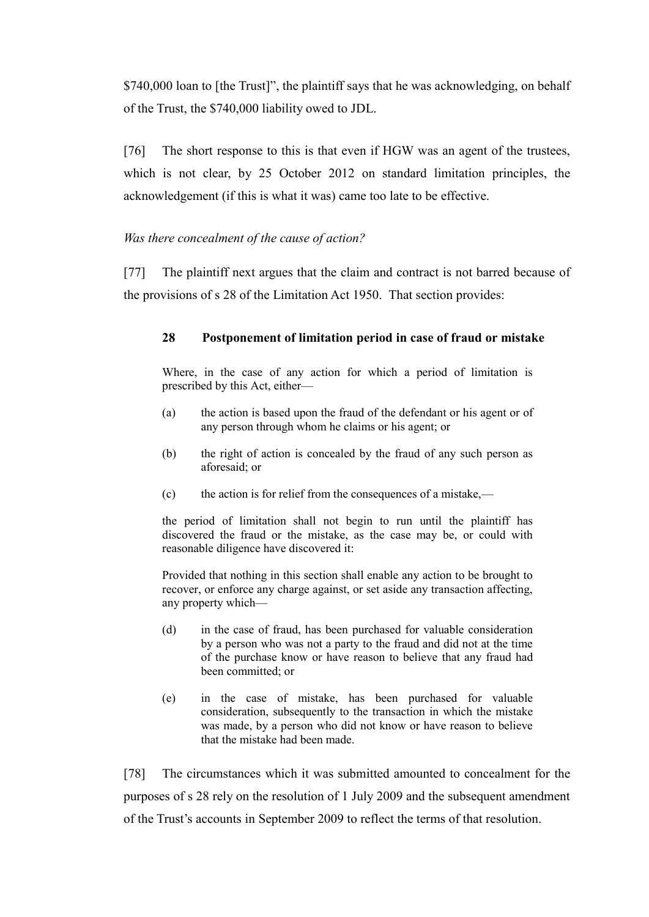\$740,000 loan to [the Trust]", the plaintiff says that he was acknowledging, on behalf of the Trust, the \$740,000 liability owed to JDL.

[76] The short response to this is that even if HGW was an agent of the trustees, which is not clear, by 25 October 2012 on standard limitation principles, the acknowledgement (if this is what it was) came too late to be effective.

# <span id="page-23-0"></span>*Was there concealment of the cause of action?*

[77] The plaintiff next argues that the claim and contract is not barred because of the provisions of s 28 of the Limitation Act 1950. That section provides:

# **28 Postponement of limitation period in case of fraud or mistake**

Where, in the case of any action for which a period of limitation is prescribed by this Act, either—

- (a) the action is based upon the fraud of the defendant or his agent or of any person through whom he claims or his agent; or
- (b) the right of action is concealed by the fraud of any such person as aforesaid; or
- (c) the action is for relief from the consequences of a mistake,—

the period of limitation shall not begin to run until the plaintiff has discovered the fraud or the mistake, as the case may be, or could with reasonable diligence have discovered it:

Provided that nothing in this section shall enable any action to be brought to recover, or enforce any charge against, or set aside any transaction affecting, any property which—

- (d) in the case of fraud, has been purchased for valuable consideration by a person who was not a party to the fraud and did not at the time of the purchase know or have reason to believe that any fraud had been committed; or
- (e) in the case of mistake, has been purchased for valuable consideration, subsequently to the transaction in which the mistake was made, by a person who did not know or have reason to believe that the mistake had been made.

[78] The circumstances which it was submitted amounted to concealment for the purposes of s 28 rely on the resolution of 1 July 2009 and the subsequent amendment of the Trust's accounts in September 2009 to reflect the terms of that resolution.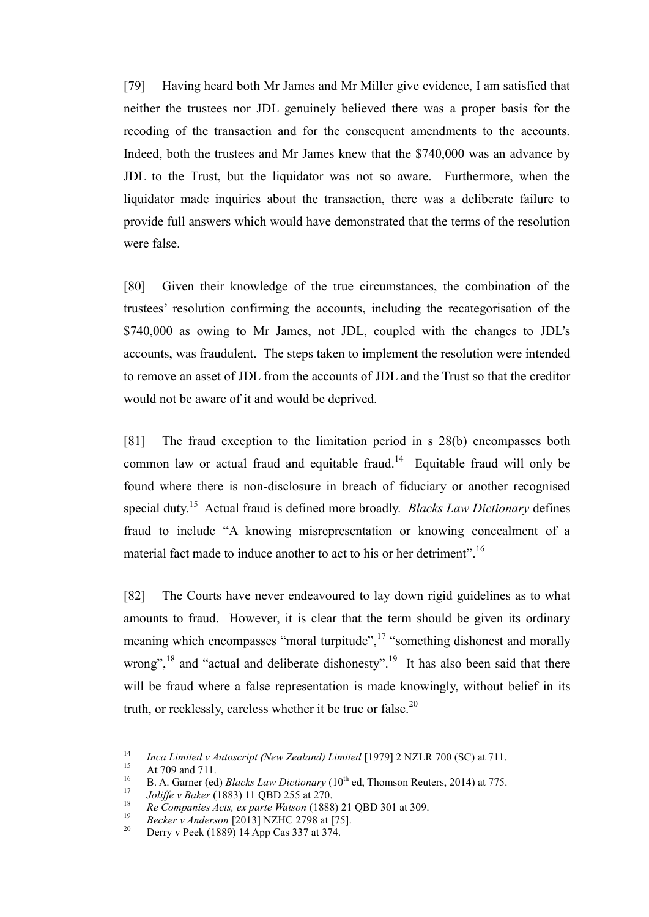[79] Having heard both Mr James and Mr Miller give evidence, I am satisfied that neither the trustees nor JDL genuinely believed there was a proper basis for the recoding of the transaction and for the consequent amendments to the accounts. Indeed, both the trustees and Mr James knew that the \$740,000 was an advance by JDL to the Trust, but the liquidator was not so aware. Furthermore, when the liquidator made inquiries about the transaction, there was a deliberate failure to provide full answers which would have demonstrated that the terms of the resolution were false.

[80] Given their knowledge of the true circumstances, the combination of the trustees' resolution confirming the accounts, including the recategorisation of the \$740,000 as owing to Mr James, not JDL, coupled with the changes to JDL's accounts, was fraudulent. The steps taken to implement the resolution were intended to remove an asset of JDL from the accounts of JDL and the Trust so that the creditor would not be aware of it and would be deprived.

[81] The fraud exception to the limitation period in s 28(b) encompasses both common law or actual fraud and equitable fraud.<sup>14</sup> Equitable fraud will only be found where there is non-disclosure in breach of fiduciary or another recognised special duty. <sup>15</sup> Actual fraud is defined more broadly. *Blacks Law Dictionary* defines fraud to include "A knowing misrepresentation or knowing concealment of a material fact made to induce another to act to his or her detriment".<sup>16</sup>

[82] The Courts have never endeavoured to lay down rigid guidelines as to what amounts to fraud. However, it is clear that the term should be given its ordinary meaning which encompasses "moral turpitude",<sup>17</sup> "something dishonest and morally wrong",  $^{18}$  and "actual and deliberate dishonesty".<sup>19</sup> It has also been said that there will be fraud where a false representation is made knowingly, without belief in its truth, or recklessly, careless whether it be true or false. $^{20}$ 

<sup>14</sup> <sup>14</sup> *Inca Limited v Autoscript (New Zealand) Limited* [1979] 2 NZLR 700 (SC) at 711.

 $^{15}$  At 709 and 711.

<sup>&</sup>lt;sup>16</sup> B. A. Garner (ed) *Blacks Law Dictionary* ( $10^{th}$  ed, Thomson Reuters, 2014) at 775.

<sup>17</sup> *Joliffe v Baker* (1883) 11 QBD 255 at 270.

<sup>18</sup> *Re Companies Acts, ex parte Watson* (1888) 21 QBD 301 at 309.

<sup>19</sup> *Becker v Anderson* [2013] NZHC 2798 at [75].

Derry v Peek (1889) 14 App Cas 337 at 374.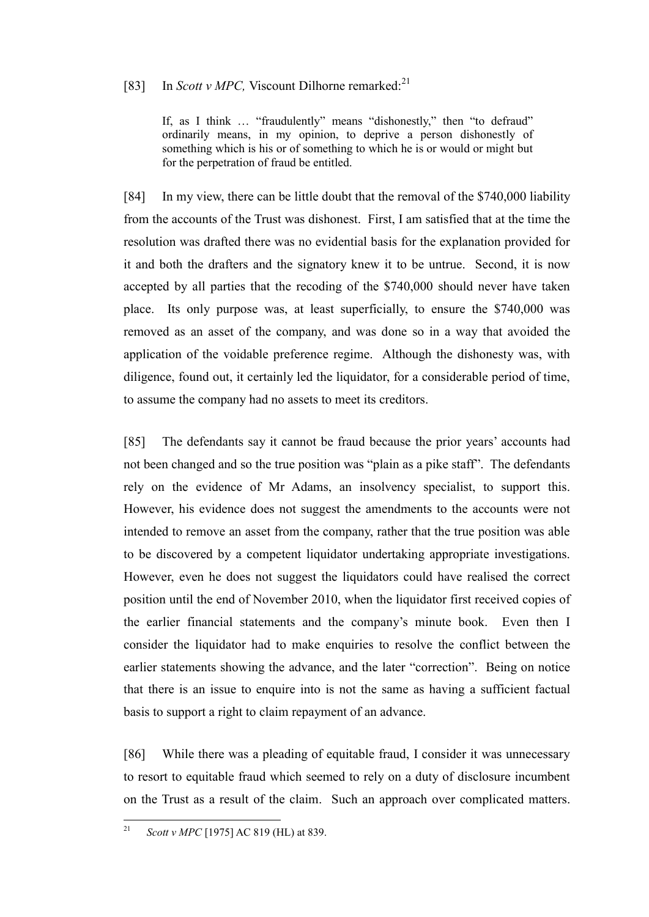# [83] In *Scott v MPC*, Viscount Dilhorne remarked:<sup>21</sup>

If, as I think ... "fraudulently" means "dishonestly," then "to defraud" ordinarily means, in my opinion, to deprive a person dishonestly of something which is his or of something to which he is or would or might but for the perpetration of fraud be entitled.

[84] In my view, there can be little doubt that the removal of the \$740,000 liability from the accounts of the Trust was dishonest. First, I am satisfied that at the time the resolution was drafted there was no evidential basis for the explanation provided for it and both the drafters and the signatory knew it to be untrue. Second, it is now accepted by all parties that the recoding of the \$740,000 should never have taken place. Its only purpose was, at least superficially, to ensure the \$740,000 was removed as an asset of the company, and was done so in a way that avoided the application of the voidable preference regime. Although the dishonesty was, with diligence, found out, it certainly led the liquidator, for a considerable period of time, to assume the company had no assets to meet its creditors.

[85] The defendants say it cannot be fraud because the prior years' accounts had not been changed and so the true position was "plain as a pike staff". The defendants rely on the evidence of Mr Adams, an insolvency specialist, to support this. However, his evidence does not suggest the amendments to the accounts were not intended to remove an asset from the company, rather that the true position was able to be discovered by a competent liquidator undertaking appropriate investigations. However, even he does not suggest the liquidators could have realised the correct position until the end of November 2010, when the liquidator first received copies of the earlier financial statements and the company's minute book. Even then I consider the liquidator had to make enquiries to resolve the conflict between the earlier statements showing the advance, and the later "correction". Being on notice that there is an issue to enquire into is not the same as having a sufficient factual basis to support a right to claim repayment of an advance.

[86] While there was a pleading of equitable fraud, I consider it was unnecessary to resort to equitable fraud which seemed to rely on a duty of disclosure incumbent on the Trust as a result of the claim. Such an approach over complicated matters.

 $21$ *Scott v MPC* [1975] AC 819 (HL) at 839.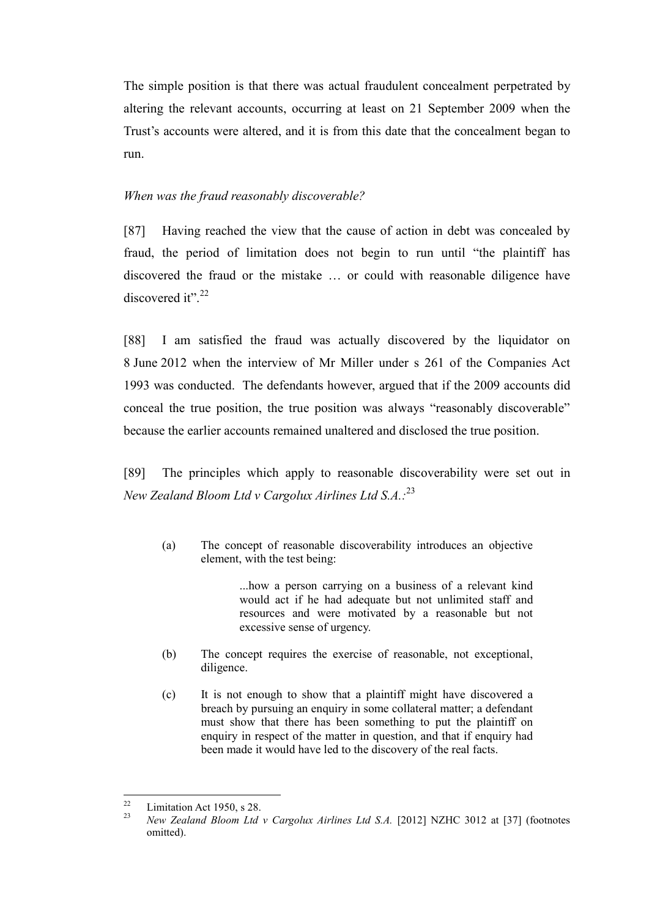The simple position is that there was actual fraudulent concealment perpetrated by altering the relevant accounts, occurring at least on 21 September 2009 when the Trust's accounts were altered, and it is from this date that the concealment began to run.

### <span id="page-26-0"></span>*When was the fraud reasonably discoverable?*

[87] Having reached the view that the cause of action in debt was concealed by fraud, the period of limitation does not begin to run until "the plaintiff has discovered the fraud or the mistake … or could with reasonable diligence have discovered it".<sup>22</sup>

[88] I am satisfied the fraud was actually discovered by the liquidator on 8 June 2012 when the interview of Mr Miller under s 261 of the Companies Act 1993 was conducted. The defendants however, argued that if the 2009 accounts did conceal the true position, the true position was always "reasonably discoverable" because the earlier accounts remained unaltered and disclosed the true position.

[89] The principles which apply to reasonable discoverability were set out in *New Zealand Bloom Ltd v Cargolux Airlines Ltd S.A.:* 23

(a) The concept of reasonable discoverability introduces an objective element, with the test being:

> ...how a person carrying on a business of a relevant kind would act if he had adequate but not unlimited staff and resources and were motivated by a reasonable but not excessive sense of urgency.

- (b) The concept requires the exercise of reasonable, not exceptional, diligence.
- (c) It is not enough to show that a plaintiff might have discovered a breach by pursuing an enquiry in some collateral matter; a defendant must show that there has been something to put the plaintiff on enquiry in respect of the matter in question, and that if enquiry had been made it would have led to the discovery of the real facts.

<sup>22</sup> <sup>22</sup> Limitation Act 1950, s 28.<br><sup>23</sup> May Zanky d Plasm Ltd.

<sup>23</sup> *New Zealand Bloom Ltd v Cargolux Airlines Ltd S.A.* [2012] NZHC 3012 at [37] (footnotes omitted).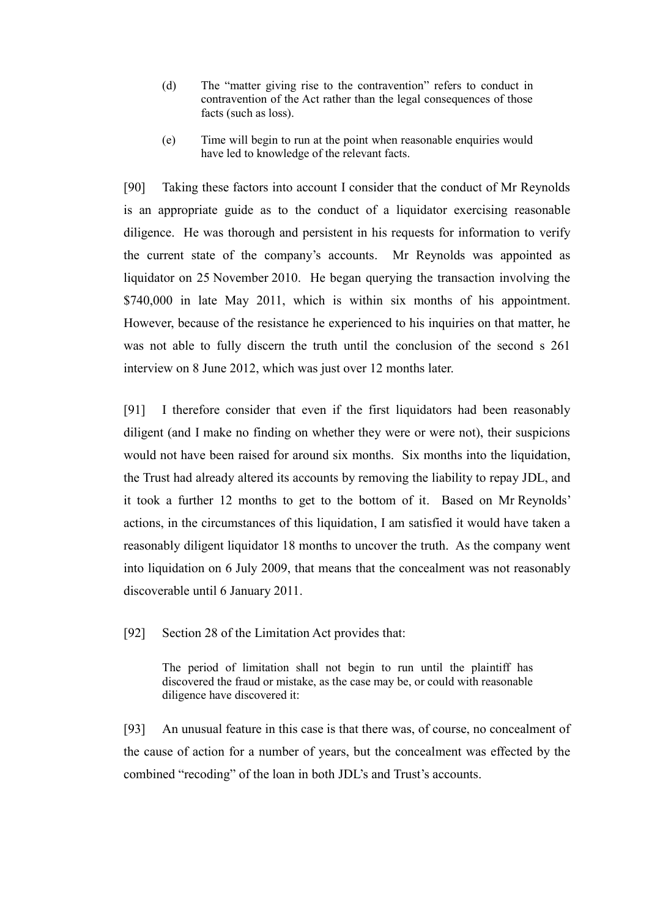- (d) The "matter giving rise to the contravention" refers to conduct in contravention of the Act rather than the legal consequences of those facts (such as loss).
- (e) Time will begin to run at the point when reasonable enquiries would have led to knowledge of the relevant facts.

[90] Taking these factors into account I consider that the conduct of Mr Reynolds is an appropriate guide as to the conduct of a liquidator exercising reasonable diligence. He was thorough and persistent in his requests for information to verify the current state of the company's accounts. Mr Reynolds was appointed as liquidator on 25 November 2010. He began querying the transaction involving the \$740,000 in late May 2011, which is within six months of his appointment. However, because of the resistance he experienced to his inquiries on that matter, he was not able to fully discern the truth until the conclusion of the second s 261 interview on 8 June 2012, which was just over 12 months later.

[91] I therefore consider that even if the first liquidators had been reasonably diligent (and I make no finding on whether they were or were not), their suspicions would not have been raised for around six months. Six months into the liquidation, the Trust had already altered its accounts by removing the liability to repay JDL, and it took a further 12 months to get to the bottom of it. Based on Mr Reynolds' actions, in the circumstances of this liquidation, I am satisfied it would have taken a reasonably diligent liquidator 18 months to uncover the truth. As the company went into liquidation on 6 July 2009, that means that the concealment was not reasonably discoverable until 6 January 2011.

[92] Section 28 of the Limitation Act provides that:

The period of limitation shall not begin to run until the plaintiff has discovered the fraud or mistake, as the case may be, or could with reasonable diligence have discovered it:

[93] An unusual feature in this case is that there was, of course, no concealment of the cause of action for a number of years, but the concealment was effected by the combined "recoding" of the loan in both JDL's and Trust's accounts.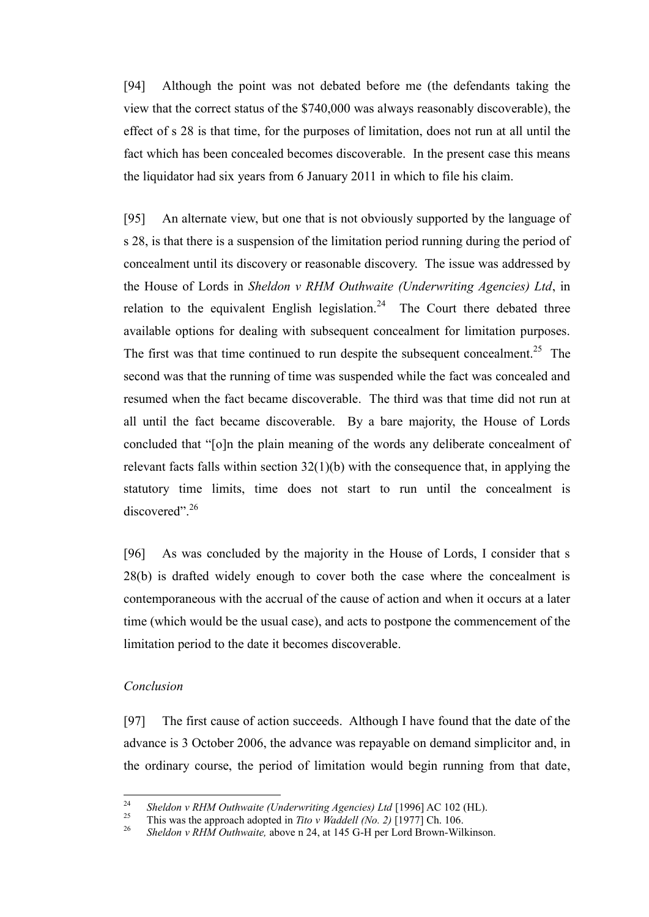[94] Although the point was not debated before me (the defendants taking the view that the correct status of the \$740,000 was always reasonably discoverable), the effect of s 28 is that time, for the purposes of limitation, does not run at all until the fact which has been concealed becomes discoverable. In the present case this means the liquidator had six years from 6 January 2011 in which to file his claim.

[95] An alternate view, but one that is not obviously supported by the language of s 28, is that there is a suspension of the limitation period running during the period of concealment until its discovery or reasonable discovery. The issue was addressed by the House of Lords in *Sheldon v RHM Outhwaite (Underwriting Agencies) Ltd*, in relation to the equivalent English legislation.<sup>24</sup> The Court there debated three available options for dealing with subsequent concealment for limitation purposes. The first was that time continued to run despite the subsequent concealment.<sup>25</sup> The second was that the running of time was suspended while the fact was concealed and resumed when the fact became discoverable. The third was that time did not run at all until the fact became discoverable. By a bare majority, the House of Lords concluded that "[o]n the plain meaning of the words any deliberate concealment of relevant facts falls within section  $32(1)(b)$  with the consequence that, in applying the statutory time limits, time does not start to run until the concealment is discovered".<sup>26</sup>

[96] As was concluded by the majority in the House of Lords, I consider that s 28(b) is drafted widely enough to cover both the case where the concealment is contemporaneous with the accrual of the cause of action and when it occurs at a later time (which would be the usual case), and acts to postpone the commencement of the limitation period to the date it becomes discoverable.

### <span id="page-28-0"></span>*Conclusion*

[97] The first cause of action succeeds. Although I have found that the date of the advance is 3 October 2006, the advance was repayable on demand simplicitor and, in the ordinary course, the period of limitation would begin running from that date,

<sup>24</sup> <sup>24</sup> *Sheldon v RHM Outhwaite (Underwriting Agencies) Ltd* [1996] AC 102 (HL).

<sup>&</sup>lt;sup>25</sup> This was the approach adopted in *Tito v Waddell (No. 2)* [1977] Ch. 106.

<sup>26</sup> *Sheldon v RHM Outhwaite,* above n 24, at 145 G-H per Lord Brown-Wilkinson.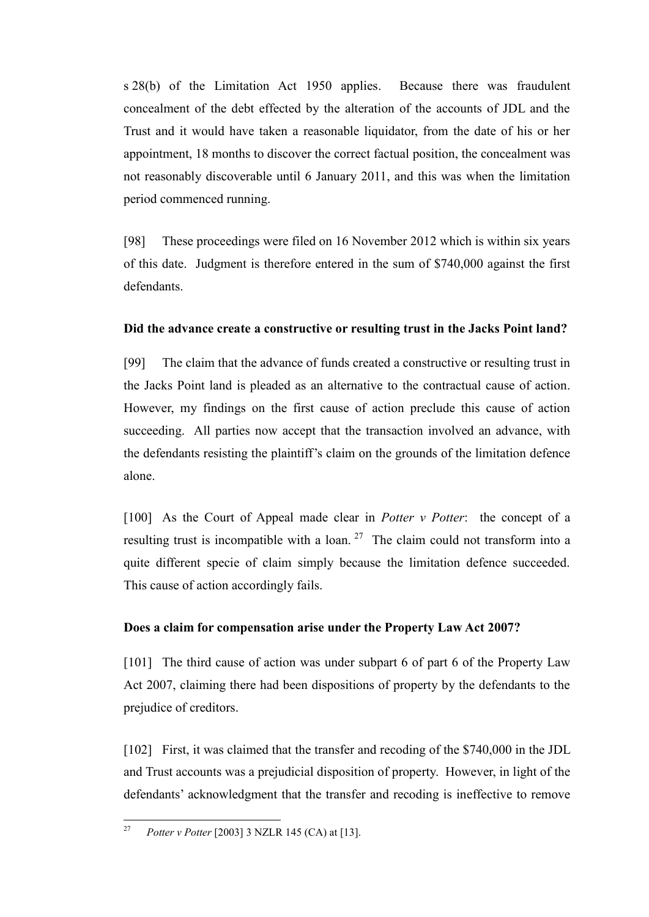s 28(b) of the Limitation Act 1950 applies. Because there was fraudulent concealment of the debt effected by the alteration of the accounts of JDL and the Trust and it would have taken a reasonable liquidator, from the date of his or her appointment, 18 months to discover the correct factual position, the concealment was not reasonably discoverable until 6 January 2011, and this was when the limitation period commenced running.

[98] These proceedings were filed on 16 November 2012 which is within six years of this date. Judgment is therefore entered in the sum of \$740,000 against the first defendants.

### <span id="page-29-0"></span>**Did the advance create a constructive or resulting trust in the Jacks Point land?**

[99] The claim that the advance of funds created a constructive or resulting trust in the Jacks Point land is pleaded as an alternative to the contractual cause of action. However, my findings on the first cause of action preclude this cause of action succeeding. All parties now accept that the transaction involved an advance, with the defendants resisting the plaintiff's claim on the grounds of the limitation defence alone.

[100] As the Court of Appeal made clear in *Potter v Potter*: the concept of a resulting trust is incompatible with a loan.<sup>27</sup> The claim could not transform into a quite different specie of claim simply because the limitation defence succeeded. This cause of action accordingly fails.

#### <span id="page-29-1"></span>**Does a claim for compensation arise under the Property Law Act 2007?**

[101] The third cause of action was under subpart 6 of part 6 of the Property Law Act 2007, claiming there had been dispositions of property by the defendants to the prejudice of creditors.

[102] First, it was claimed that the transfer and recoding of the \$740,000 in the JDL and Trust accounts was a prejudicial disposition of property. However, in light of the defendants' acknowledgment that the transfer and recoding is ineffective to remove

<sup>27</sup> <sup>27</sup> *Potter v Potter* [2003] 3 NZLR 145 (CA) at [13].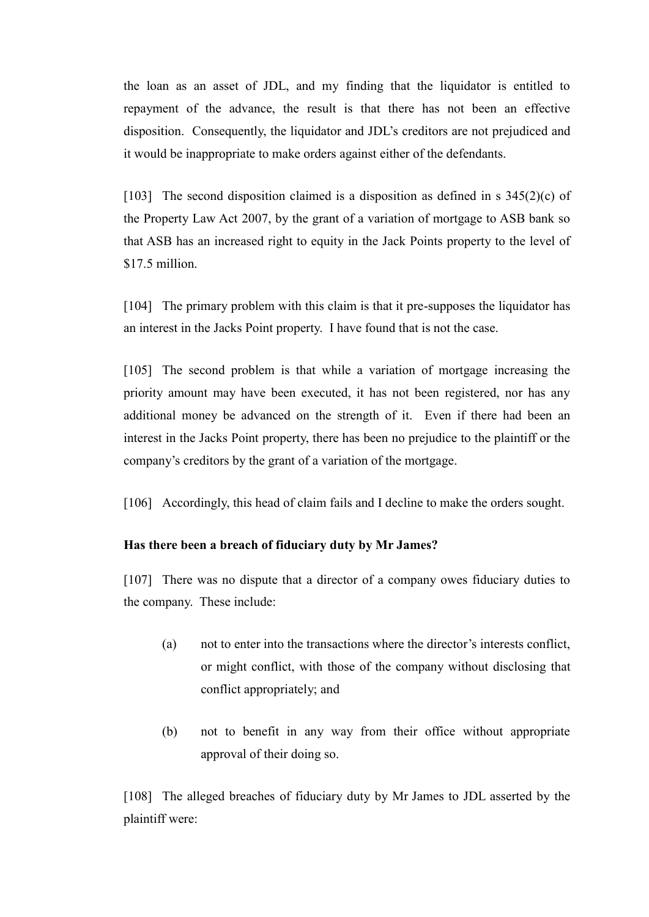the loan as an asset of JDL, and my finding that the liquidator is entitled to repayment of the advance, the result is that there has not been an effective disposition. Consequently, the liquidator and JDL's creditors are not prejudiced and it would be inappropriate to make orders against either of the defendants.

[103] The second disposition claimed is a disposition as defined in s  $345(2)(c)$  of the Property Law Act 2007, by the grant of a variation of mortgage to ASB bank so that ASB has an increased right to equity in the Jack Points property to the level of \$17.5 million.

[104] The primary problem with this claim is that it pre-supposes the liquidator has an interest in the Jacks Point property. I have found that is not the case.

[105] The second problem is that while a variation of mortgage increasing the priority amount may have been executed, it has not been registered, nor has any additional money be advanced on the strength of it. Even if there had been an interest in the Jacks Point property, there has been no prejudice to the plaintiff or the company's creditors by the grant of a variation of the mortgage.

[106] Accordingly, this head of claim fails and I decline to make the orders sought.

# <span id="page-30-0"></span>**Has there been a breach of fiduciary duty by Mr James?**

[107] There was no dispute that a director of a company owes fiduciary duties to the company. These include:

- (a) not to enter into the transactions where the director's interests conflict, or might conflict, with those of the company without disclosing that conflict appropriately; and
- (b) not to benefit in any way from their office without appropriate approval of their doing so.

[108] The alleged breaches of fiduciary duty by Mr James to JDL asserted by the plaintiff were: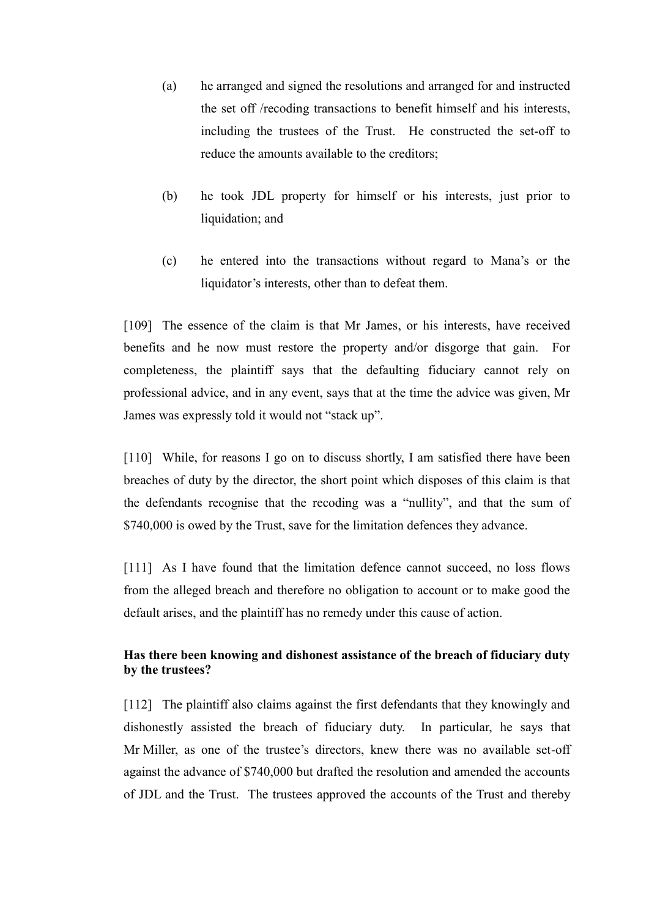- (a) he arranged and signed the resolutions and arranged for and instructed the set off /recoding transactions to benefit himself and his interests, including the trustees of the Trust. He constructed the set-off to reduce the amounts available to the creditors;
- (b) he took JDL property for himself or his interests, just prior to liquidation; and
- (c) he entered into the transactions without regard to Mana's or the liquidator's interests, other than to defeat them.

[109] The essence of the claim is that Mr James, or his interests, have received benefits and he now must restore the property and/or disgorge that gain. For completeness, the plaintiff says that the defaulting fiduciary cannot rely on professional advice, and in any event, says that at the time the advice was given, Mr James was expressly told it would not "stack up".

[110] While, for reasons I go on to discuss shortly, I am satisfied there have been breaches of duty by the director, the short point which disposes of this claim is that the defendants recognise that the recoding was a "nullity", and that the sum of \$740,000 is owed by the Trust, save for the limitation defences they advance.

[111] As I have found that the limitation defence cannot succeed, no loss flows from the alleged breach and therefore no obligation to account or to make good the default arises, and the plaintiff has no remedy under this cause of action.

# <span id="page-31-0"></span>**Has there been knowing and dishonest assistance of the breach of fiduciary duty by the trustees?**

[112] The plaintiff also claims against the first defendants that they knowingly and dishonestly assisted the breach of fiduciary duty. In particular, he says that Mr Miller, as one of the trustee's directors, knew there was no available set-off against the advance of \$740,000 but drafted the resolution and amended the accounts of JDL and the Trust. The trustees approved the accounts of the Trust and thereby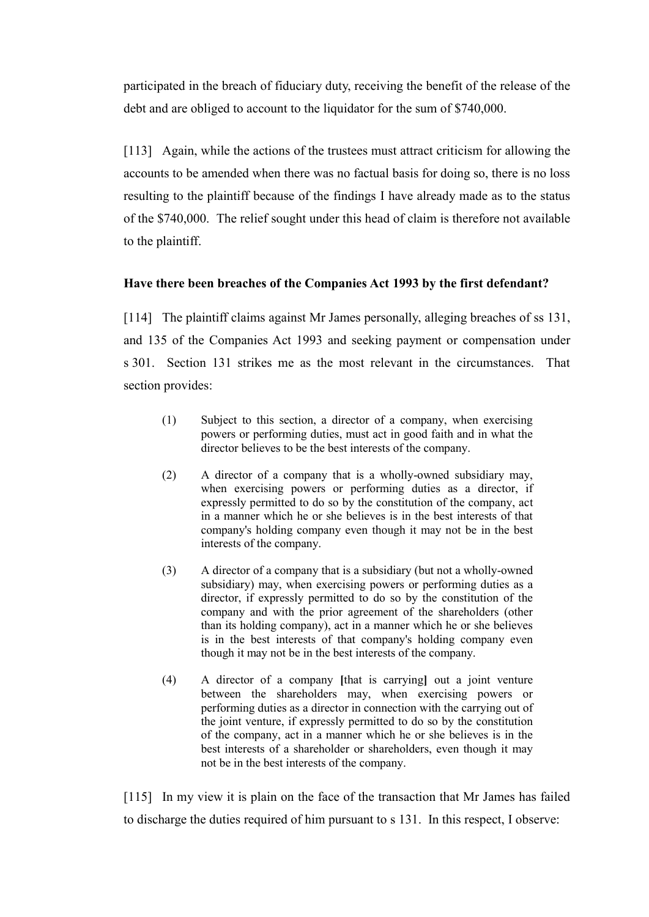participated in the breach of fiduciary duty, receiving the benefit of the release of the debt and are obliged to account to the liquidator for the sum of \$740,000.

[113] Again, while the actions of the trustees must attract criticism for allowing the accounts to be amended when there was no factual basis for doing so, there is no loss resulting to the plaintiff because of the findings I have already made as to the status of the \$740,000. The relief sought under this head of claim is therefore not available to the plaintiff.

# <span id="page-32-0"></span>**Have there been breaches of the Companies Act 1993 by the first defendant?**

[114] The plaintiff claims against Mr James personally, alleging breaches of ss 131, and 135 of the Companies Act 1993 and seeking payment or compensation under s 301. Section 131 strikes me as the most relevant in the circumstances. That section provides:

- (1) Subject to this section, a director of a company, when exercising powers or performing duties, must act in good faith and in what the director believes to be the best interests of the company.
- (2) A director of a company that is a wholly-owned subsidiary may, when exercising powers or performing duties as a director, if expressly permitted to do so by the constitution of the company, act in a manner which he or she believes is in the best interests of that company's holding company even though it may not be in the best interests of the company.
- (3) A director of a company that is a subsidiary (but not a wholly-owned subsidiary) may, when exercising powers or performing duties as a director, if expressly permitted to do so by the constitution of the company and with the prior agreement of the shareholders (other than its holding company), act in a manner which he or she believes is in the best interests of that company's holding company even though it may not be in the best interests of the company.
- (4) A director of a company **[**that is carrying**]** out a joint venture between the shareholders may, when exercising powers or performing duties as a director in connection with the carrying out of the joint venture, if expressly permitted to do so by the constitution of the company, act in a manner which he or she believes is in the best interests of a shareholder or shareholders, even though it may not be in the best interests of the company.

[115] In my view it is plain on the face of the transaction that Mr James has failed to discharge the duties required of him pursuant to s 131. In this respect, I observe: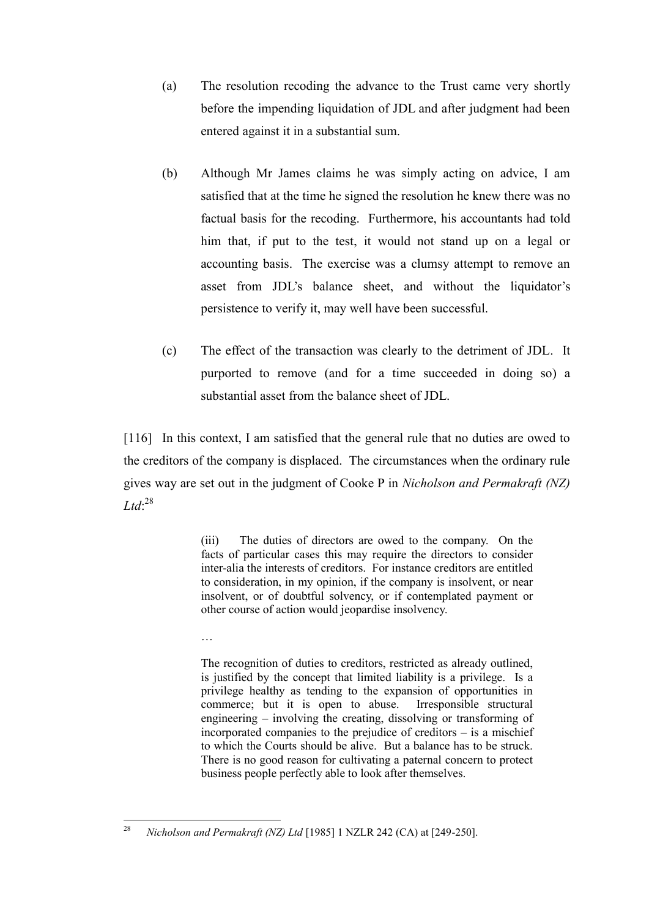- (a) The resolution recoding the advance to the Trust came very shortly before the impending liquidation of JDL and after judgment had been entered against it in a substantial sum.
- (b) Although Mr James claims he was simply acting on advice, I am satisfied that at the time he signed the resolution he knew there was no factual basis for the recoding. Furthermore, his accountants had told him that, if put to the test, it would not stand up on a legal or accounting basis. The exercise was a clumsy attempt to remove an asset from JDL's balance sheet, and without the liquidator's persistence to verify it, may well have been successful.
- (c) The effect of the transaction was clearly to the detriment of JDL. It purported to remove (and for a time succeeded in doing so) a substantial asset from the balance sheet of JDL.

[116] In this context, I am satisfied that the general rule that no duties are owed to the creditors of the company is displaced. The circumstances when the ordinary rule gives way are set out in the judgment of Cooke P in *Nicholson and Permakraft (NZ) Ltd*: 28

> (iii) The duties of directors are owed to the company. On the facts of particular cases this may require the directors to consider inter-alia the interests of creditors. For instance creditors are entitled to consideration, in my opinion, if the company is insolvent, or near insolvent, or of doubtful solvency, or if contemplated payment or other course of action would jeopardise insolvency.

…

The recognition of duties to creditors, restricted as already outlined, is justified by the concept that limited liability is a privilege. Is a privilege healthy as tending to the expansion of opportunities in commerce; but it is open to abuse. Irresponsible structural engineering – involving the creating, dissolving or transforming of incorporated companies to the prejudice of creditors – is a mischief to which the Courts should be alive. But a balance has to be struck. There is no good reason for cultivating a paternal concern to protect business people perfectly able to look after themselves.

<sup>28</sup> <sup>28</sup> *Nicholson and Permakraft (NZ) Ltd* [1985] 1 NZLR 242 (CA) at [249-250].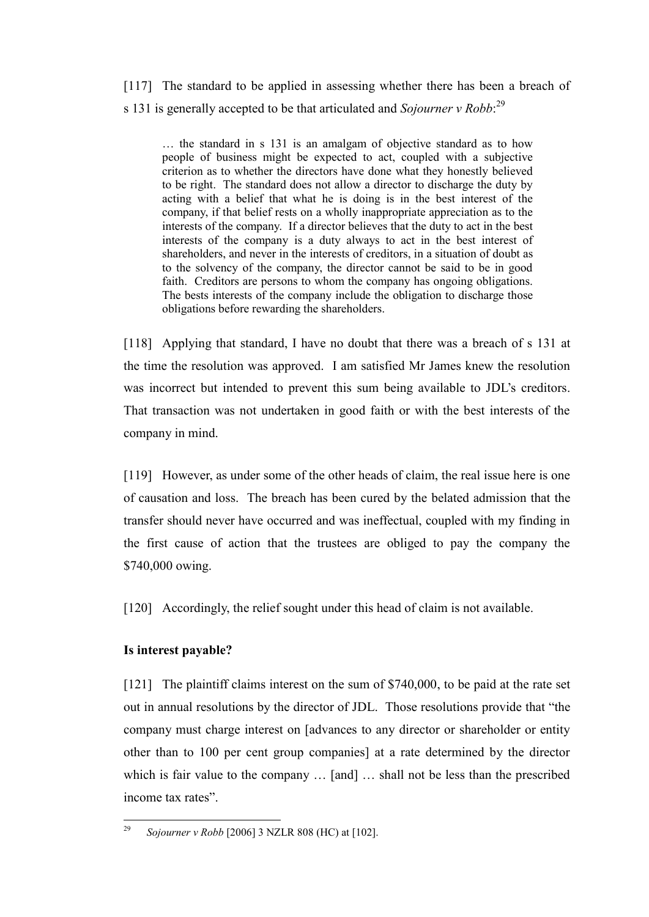[117] The standard to be applied in assessing whether there has been a breach of s 131 is generally accepted to be that articulated and *Sojourner v Robb*: 29

… the standard in s 131 is an amalgam of objective standard as to how people of business might be expected to act, coupled with a subjective criterion as to whether the directors have done what they honestly believed to be right. The standard does not allow a director to discharge the duty by acting with a belief that what he is doing is in the best interest of the company, if that belief rests on a wholly inappropriate appreciation as to the interests of the company. If a director believes that the duty to act in the best interests of the company is a duty always to act in the best interest of shareholders, and never in the interests of creditors, in a situation of doubt as to the solvency of the company, the director cannot be said to be in good faith. Creditors are persons to whom the company has ongoing obligations. The bests interests of the company include the obligation to discharge those obligations before rewarding the shareholders.

[118] Applying that standard, I have no doubt that there was a breach of s 131 at the time the resolution was approved. I am satisfied Mr James knew the resolution was incorrect but intended to prevent this sum being available to JDL's creditors. That transaction was not undertaken in good faith or with the best interests of the company in mind.

[119] However, as under some of the other heads of claim, the real issue here is one of causation and loss. The breach has been cured by the belated admission that the transfer should never have occurred and was ineffectual, coupled with my finding in the first cause of action that the trustees are obliged to pay the company the \$740,000 owing.

[120] Accordingly, the relief sought under this head of claim is not available.

# <span id="page-34-0"></span>**Is interest payable?**

[121] The plaintiff claims interest on the sum of \$740,000, to be paid at the rate set out in annual resolutions by the director of JDL. Those resolutions provide that "the company must charge interest on [advances to any director or shareholder or entity other than to 100 per cent group companies] at a rate determined by the director which is fair value to the company ... [and] ... shall not be less than the prescribed income tax rates".

<sup>29</sup> <sup>29</sup> *Sojourner v Robb* [2006] 3 NZLR 808 (HC) at [102].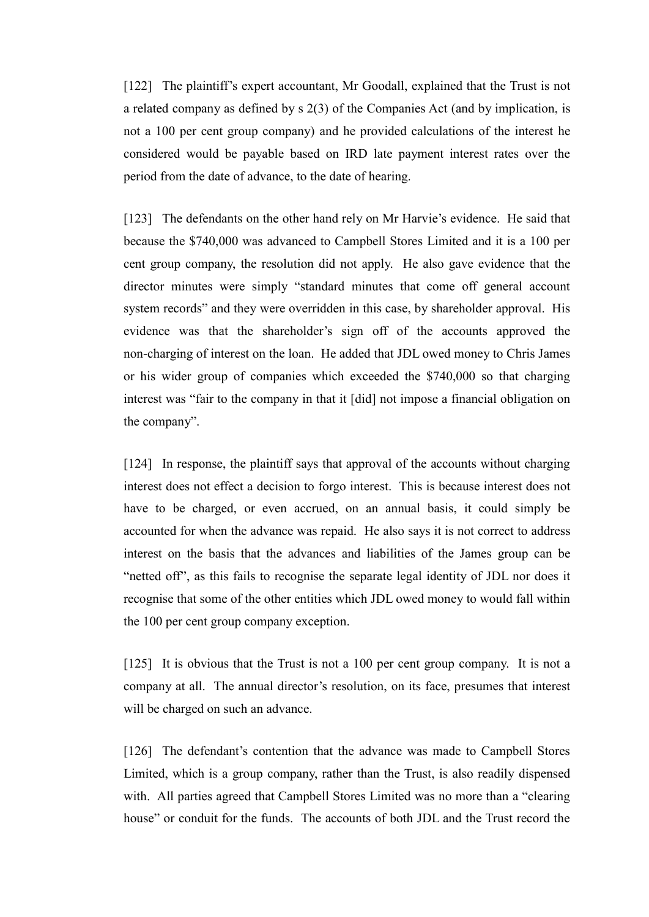[122] The plaintiff's expert accountant, Mr Goodall, explained that the Trust is not a related company as defined by s 2(3) of the Companies Act (and by implication, is not a 100 per cent group company) and he provided calculations of the interest he considered would be payable based on IRD late payment interest rates over the period from the date of advance, to the date of hearing.

[123] The defendants on the other hand rely on Mr Harvie's evidence. He said that because the \$740,000 was advanced to Campbell Stores Limited and it is a 100 per cent group company, the resolution did not apply. He also gave evidence that the director minutes were simply "standard minutes that come off general account system records" and they were overridden in this case, by shareholder approval. His evidence was that the shareholder's sign off of the accounts approved the non-charging of interest on the loan. He added that JDL owed money to Chris James or his wider group of companies which exceeded the \$740,000 so that charging interest was "fair to the company in that it [did] not impose a financial obligation on the company".

[124] In response, the plaintiff says that approval of the accounts without charging interest does not effect a decision to forgo interest. This is because interest does not have to be charged, or even accrued, on an annual basis, it could simply be accounted for when the advance was repaid. He also says it is not correct to address interest on the basis that the advances and liabilities of the James group can be "netted off", as this fails to recognise the separate legal identity of JDL nor does it recognise that some of the other entities which JDL owed money to would fall within the 100 per cent group company exception.

[125] It is obvious that the Trust is not a 100 per cent group company. It is not a company at all. The annual director's resolution, on its face, presumes that interest will be charged on such an advance.

[126] The defendant's contention that the advance was made to Campbell Stores Limited, which is a group company, rather than the Trust, is also readily dispensed with. All parties agreed that Campbell Stores Limited was no more than a "clearing" house" or conduit for the funds. The accounts of both JDL and the Trust record the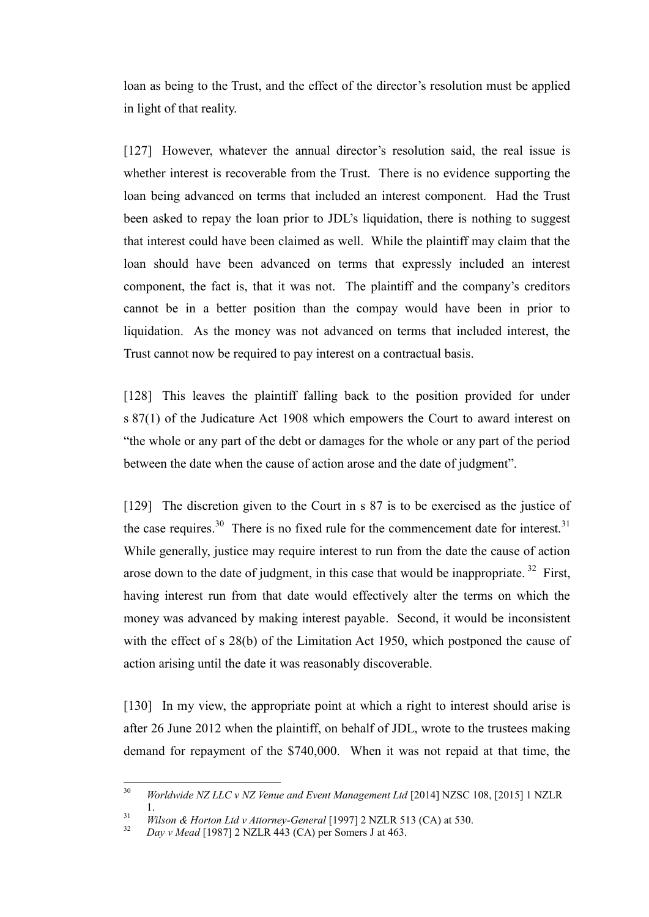loan as being to the Trust, and the effect of the director's resolution must be applied in light of that reality.

[127] However, whatever the annual director's resolution said, the real issue is whether interest is recoverable from the Trust. There is no evidence supporting the loan being advanced on terms that included an interest component. Had the Trust been asked to repay the loan prior to JDL's liquidation, there is nothing to suggest that interest could have been claimed as well. While the plaintiff may claim that the loan should have been advanced on terms that expressly included an interest component, the fact is, that it was not. The plaintiff and the company's creditors cannot be in a better position than the compay would have been in prior to liquidation. As the money was not advanced on terms that included interest, the Trust cannot now be required to pay interest on a contractual basis.

[128] This leaves the plaintiff falling back to the position provided for under s 87(1) of the Judicature Act 1908 which empowers the Court to award interest on "the whole or any part of the debt or damages for the whole or any part of the period between the date when the cause of action arose and the date of judgment".

[129] The discretion given to the Court in s 87 is to be exercised as the justice of the case requires.<sup>30</sup> There is no fixed rule for the commencement date for interest.<sup>31</sup> While generally, justice may require interest to run from the date the cause of action arose down to the date of judgment, in this case that would be inappropriate.<sup>32</sup> First, having interest run from that date would effectively alter the terms on which the money was advanced by making interest payable. Second, it would be inconsistent with the effect of s 28(b) of the Limitation Act 1950, which postponed the cause of action arising until the date it was reasonably discoverable.

[130] In my view, the appropriate point at which a right to interest should arise is after 26 June 2012 when the plaintiff, on behalf of JDL, wrote to the trustees making demand for repayment of the \$740,000. When it was not repaid at that time, the

 $30$ <sup>30</sup> *Worldwide NZ LLC v NZ Venue and Event Management Ltd* [2014] NZSC 108, [2015] 1 NZLR 1.

<sup>31</sup> *Wilson & Horton Ltd v Attorney-General* [1997] 2 NZLR 513 (CA) at 530.

<sup>32</sup> *Day v Mead* [1987] 2 NZLR 443 (CA) per Somers J at 463.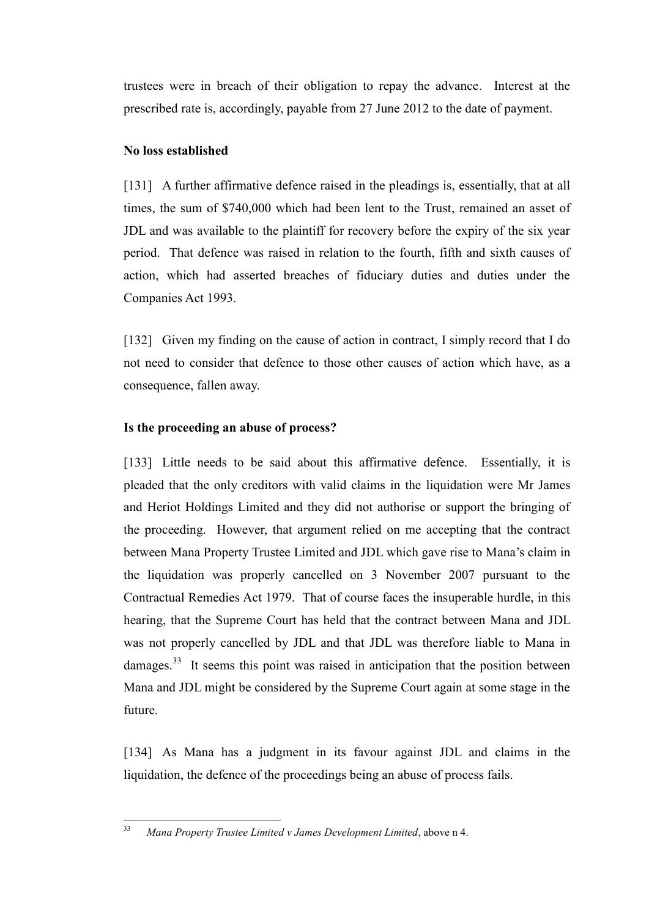trustees were in breach of their obligation to repay the advance. Interest at the prescribed rate is, accordingly, payable from 27 June 2012 to the date of payment.

### <span id="page-37-0"></span>**No loss established**

[131] A further affirmative defence raised in the pleadings is, essentially, that at all times, the sum of \$740,000 which had been lent to the Trust, remained an asset of JDL and was available to the plaintiff for recovery before the expiry of the six year period. That defence was raised in relation to the fourth, fifth and sixth causes of action, which had asserted breaches of fiduciary duties and duties under the Companies Act 1993.

[132] Given my finding on the cause of action in contract, I simply record that I do not need to consider that defence to those other causes of action which have, as a consequence, fallen away.

# <span id="page-37-1"></span>**Is the proceeding an abuse of process?**

[133] Little needs to be said about this affirmative defence. Essentially, it is pleaded that the only creditors with valid claims in the liquidation were Mr James and Heriot Holdings Limited and they did not authorise or support the bringing of the proceeding. However, that argument relied on me accepting that the contract between Mana Property Trustee Limited and JDL which gave rise to Mana's claim in the liquidation was properly cancelled on 3 November 2007 pursuant to the Contractual Remedies Act 1979. That of course faces the insuperable hurdle, in this hearing, that the Supreme Court has held that the contract between Mana and JDL was not properly cancelled by JDL and that JDL was therefore liable to Mana in damages.<sup>33</sup> It seems this point was raised in anticipation that the position between Mana and JDL might be considered by the Supreme Court again at some stage in the future.

[134] As Mana has a judgment in its favour against JDL and claims in the liquidation, the defence of the proceedings being an abuse of process fails.

 $33$ <sup>33</sup> *Mana Property Trustee Limited v James Development Limited*, above n 4.